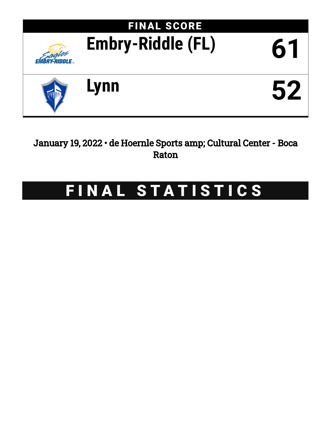

January 19, 2022 • de Hoernle Sports amp; Cultural Center - Boca Raton

# FINAL STATISTICS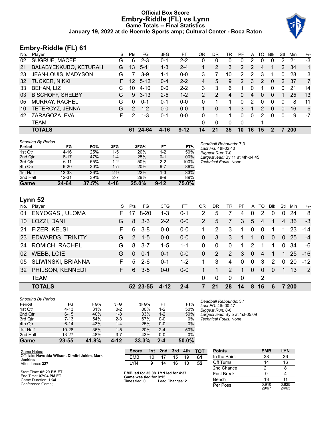## **Official Box Score Embry-Riddle (FL) vs Lynn Game Totals -- Final Statistics January 19, 2022 at de Hoernle Sports amp; Cultural Center - Boca Raton**



## **Embry-Riddle (FL) 61**

| No. | Plaver                  | S  | <b>Pts</b>    | FG       | 3FG     | FТ       | 0R            | DR       | TR | PF             | A  | TO | Blk          | Stl          | Min        | $+/-$ |
|-----|-------------------------|----|---------------|----------|---------|----------|---------------|----------|----|----------------|----|----|--------------|--------------|------------|-------|
| 02  | <b>SUGRUE, MACEE</b>    | G  | 6             | $2 - 3$  | 0-1     | $2 - 2$  | 0             | 0        | 0  | 0              | 2  | 0  |              | 2            | 21         | $-3$  |
| 21  | BALABYEKKUBO, KETURAH   | G  | 13            | $5 - 11$ | $1 - 3$ | $2 - 4$  |               | 2        | 3  | $\overline{2}$ | 2  | 4  |              | 2            | 34         | 1     |
| 23  | JEAN-LOUIS, MADYSON     | G  |               | 3-9      | $1 - 1$ | $0 - 0$  | 3             |          | 10 | 2              | 2  | 3  |              | 0            | 28         | 3     |
| 32  | <b>TUCKER, NIKKI</b>    | F. | 12            | $5 - 12$ | $0 - 4$ | $2 - 2$  | 4             | 5        | 9  | $\overline{2}$ | 3  | 2  | $\mathbf{0}$ | 2            | 37         | 7     |
| 33  | BEHAN, LIZ              | C  | 10            | $4 - 10$ | $0 - 0$ | $2 - 2$  | 3             | 3        | 6  | 1              | 0  |    | 0            | 0            | 21         | 14    |
| 03  | <b>BISCHOFF, SHELBY</b> | G  | 9             | $3 - 13$ | $2 - 5$ | $1 - 2$  | $\mathcal{P}$ | 2        | 4  | 0              | 4  | 0  | $\Omega$     |              | 25         | 13    |
| 05  | <b>MURRAY, RACHEL</b>   | G  | O             | $0 - 1$  | 0-1     | $0-0$    | 0             |          |    | 0              | 2  | 0  | 0            | 0            | 8          | 11    |
| 10  | TETERCYZ, JENNA         | G  | $\mathcal{P}$ | $1 - 2$  | $0 - 0$ | $0 - 0$  |               | $\Omega$ |    | 3              |    | 2  | $\Omega$     | $\mathbf{0}$ | 16         | 6     |
| 42  | ZARAGOZA, EVA           | F  | 2             | $1 - 3$  | 0-1     | $0 - 0$  | 0             |          |    | $\Omega$       | 0  | 2  | $\Omega$     | 0            | 9          | -7    |
|     | TEAM                    |    |               |          |         |          | 0             | 0        | 0  | 0              |    |    |              |              |            |       |
|     | <b>TOTALS</b>           |    | 61            | 24-64    | 4-16    | $9 - 12$ | 14            | 21       | 35 | 10             | 16 | 15 |              |              | <b>200</b> |       |

| Game                      | 24-64     | 37.5% | 4-16    | 25.0%      | $9 - 12$ | $75.0\%$ |                                              |
|---------------------------|-----------|-------|---------|------------|----------|----------|----------------------------------------------|
| 2nd Half                  | $12 - 31$ | 39%   | $2 - 7$ | 29%        | $8-9$    | 89%      |                                              |
| 1st Half                  | $12 - 33$ | 36%   | $2-9$   | 22%        | $1 - 3$  | 33%      |                                              |
| 4th Qtr                   | $6 - 20$  | 30%   | $1-5$   | 20%        | $6 - 7$  | 86%      |                                              |
| 3rd Qtr                   | $6 - 11$  | 55%   | $1-2$   | 50%        | $2 - 2$  | 100%     | Technical Fouls: None.                       |
| 2nd Qtr                   | $8 - 17$  | 47%   | $1 - 4$ | 25%        | $0 - 1$  | 00%      | Largest lead: By 11 at 4th-04:45             |
| 1st Qtr                   | $4 - 16$  | 25%   | 1-5     | <b>20%</b> | $1 - 2$  | 50%      | Biggest Run: 7-0                             |
| Period                    | FG        | FG%   | 3FG     | 3FG%       | FT       | FT%      | Deadball Rebounds: 7,3<br>Last FG: 4th-02:40 |
| <b>Shooting By Period</b> |           |       |         |            |          |          |                                              |

## **Lynn 52**

|     | <b>TOTALS</b>         |    |               | 52 23-55 | $4 - 12$ | $2 - 4$ |    | 21            | 28             | 14          | 8            | 16             | 6              |              | 7 200 |                |
|-----|-----------------------|----|---------------|----------|----------|---------|----|---------------|----------------|-------------|--------------|----------------|----------------|--------------|-------|----------------|
|     | <b>TEAM</b>           |    |               |          |          |         | 0  | $\mathbf 0$   | $\mathbf{0}$   | $\mathbf 0$ |              | 2              |                |              |       |                |
| 32  | PHILSON, KENNEDI      | F. | 6             | $3 - 5$  | $0 - 0$  | $0-0$   |    | 1             | $\overline{2}$ | 1           | $\Omega$     | $\Omega$       | $\Omega$       | 1            | 13    | $\overline{2}$ |
| 05  | SLIWINSKI, BRIANNA    | F  | 5             | $2 - 6$  | $0 - 1$  | $1 - 2$ |    | 3             | 4              | $\Omega$    | $\mathbf{0}$ | 3              | $\overline{2}$ | $\Omega$     | 20    | $-12$          |
| 02  | <b>WEBB, LOIE</b>     | G  | $\Omega$      | $0 - 1$  | $0 - 1$  | $0 - 0$ | 0  | 2             | 2              | 3           | $\Omega$     | $\overline{4}$ | 1              | $\mathbf{1}$ | 25    | $-16$          |
| 24  | <b>ROMICH, RACHEL</b> | G  | 8             | $3 - 7$  | $1 - 5$  | $1 - 1$ | 0  | $\Omega$      | $\mathbf{0}$   | 1           | 2            |                | 1              | $\Omega$     | 34    | -6             |
|     | 23 EDWARDS, TRINITY   | G  | $\mathcal{P}$ | $1 - 5$  | $0 - 0$  | $0-0$   | 0  | 3             | 3              | 1           |              | $\Omega$       | $\mathbf{0}$   | $\mathbf{0}$ | 25    | $-4$           |
|     | 21 FIZER, KELSI       | F  | 6             | $3 - 8$  | $0 - 0$  | $0-0$   |    | $\mathcal{P}$ | 3              | 1           | $\mathbf{0}$ | $\mathbf{0}$   | 1              |              | 23    | $-14$          |
| 10  | LOZZI, DANI           | G  | 8             | $3 - 3$  | $2 - 2$  | $0-0$   | 2  | 5             | 7              | 3           | 5            | 4              | 1              | 4            | -36   | -3             |
| 01  | ENYOGASI, ULOMA       | F. | 17            | $8 - 20$ | $1 - 3$  | $0 - 1$ | 2  | 5             | 7              | 4           | 0            | 2              | 0              | 0            | 24    | 8              |
| No. | Player                | S  | Pts           | FG       | 3FG      | FТ      | OR | DR            | TR             | PF          | A            | TO             | <b>BIK</b>     | Stl          | Min   | $+/-$          |

| <b>Shooting By Period</b> |           |       |         |       |         |       |
|---------------------------|-----------|-------|---------|-------|---------|-------|
| Period                    | FG        | FG%   | 3FG     | 3FG%  | FT      | FT%   |
| 1st Qtr                   | $4 - 13$  | 31%   | $0 - 2$ | 00%   | $1 - 2$ | 50%   |
| 2nd Qtr                   | $6 - 15$  | 40%   | $1 - 3$ | 33%   | $1 - 2$ | 50%   |
| 3rd Qtr                   | 7-13      | 54%   | $2 - 3$ | 67%   | $0 - 0$ | 0%    |
| 4th Qtr                   | $6 - 14$  | 43%   | $1 - 4$ | 25%   | $0 - 0$ | $0\%$ |
| 1st Half                  | $10 - 28$ | 36%   | $1 - 5$ | 20%   | $2 - 4$ | 50%   |
| 2nd Half                  | $13 - 27$ | 48%   | $3 - 7$ | 43%   | $0-0$   | 0%    |
| Game                      | 23-55     | 41.8% | 4-12    | 33.3% | $2 - 4$ | 50.0% |

*Deadball Rebounds:* 3,1 *Last FG:* 4th-00:47 *Biggest Run:* 8-0 *Largest lead:* By 5 at 1st-05:09 *Technical Fouls:* None.

| Game Notes:                                                      | <b>Score</b>                                    | 1st l | $\blacksquare$ 2nd | 3rd | 4th | <b>TOT</b> | <b>Points</b>     | <b>EMB</b>     | <b>LYN</b>     |
|------------------------------------------------------------------|-------------------------------------------------|-------|--------------------|-----|-----|------------|-------------------|----------------|----------------|
| Officials: Navodda Wilson, Dimitri Jokim, Mark<br><b>Jenkins</b> | <b>EMB</b>                                      | 10    |                    | 15  | 19  | 61         | In the Paint      | 38             | 36             |
| Attendance: 327                                                  | LYN                                             | 9     | 14                 | 16  | 13  | 52         | Off Turns         |                | 16             |
|                                                                  |                                                 |       |                    |     |     |            | 2nd Chance        | 21             |                |
| Start Time: 05:29 PM ET<br>End Time: 07:04 PM ET                 | EMB led for 35:08. LYN led for 4:37.            |       |                    |     |     |            | <b>Fast Break</b> |                |                |
| Game Duration: 1:34                                              | Game was tied for 0:15.<br>Times tied: <b>0</b> |       | Lead Changes: 2    |     |     |            | Bench             |                |                |
| Conference Game:                                                 |                                                 |       |                    |     |     |            | Per Poss          | 0.910<br>29/67 | 0.825<br>24/63 |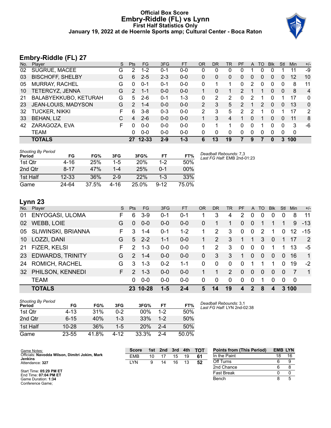## **Official Box Score Embry-Riddle (FL) vs Lynn First Half Statistics Only January 19, 2022 at de Hoernle Sports amp; Cultural Center - Boca Raton**



## **Embry-Riddle (FL) 27**

| No. | Player                  | S  | <b>Pts</b>    | <b>FG</b> | 3FG     | <b>FT</b> | <b>OR</b>     | DR | TR | PF | A | TO | <b>Blk</b>   | Stl | <b>Min</b> | $+/-$          |
|-----|-------------------------|----|---------------|-----------|---------|-----------|---------------|----|----|----|---|----|--------------|-----|------------|----------------|
| 02  | SUGRUE, MACEE           | G  | 2             | $1 - 2$   | 0-1     | $0-0$     | 0             |    | 0  |    |   | 0  |              |     | 11         | -9             |
| 03  | <b>BISCHOFF, SHELBY</b> | G  | 6             | $2 - 5$   | $2 - 3$ | $0-0$     | 0             | 0  | 0  | 0  | 0 | 0  | 0            | 0   | 12         | 10             |
| 05  | <b>MURRAY, RACHEL</b>   | G  | 0             | $0 - 1$   | $0 - 1$ | $0 - 0$   | 0             |    |    | 0  | 2 | 0  | 0            | 0   | 8          | 11             |
| 10  | TETERCYZ, JENNA         | G  | 2             | $1 - 1$   | $0 - 0$ | $0 - 0$   |               | 0  |    | 2  |   |    | 0            | 0   | 8          | $\overline{4}$ |
| 21  | BALABYEKKUBO, KETURAH   | G  | 5             | $2-6$     | $0 - 1$ | $1 - 3$   | 0             | 2  | 2  | 0  | 2 |    | 0            |     | 17         | 0              |
| 23  | JEAN-LOUIS, MADYSON     | G  | $\mathcal{P}$ | $1 - 4$   | $0 - 0$ | $0 - 0$   | 2             | 3  | 5. | 2  |   | 2  | $\Omega$     | 0   | 13         | $\Omega$       |
| 32  | <b>TUCKER, NIKKI</b>    | F  | 6             | $3 - 8$   | $0 - 3$ | $0 - 0$   | $\mathcal{P}$ | 3  | 5  | 2  | 2 |    | <sup>0</sup> | 1   | 17         | 2              |
| 33  | <b>BEHAN, LIZ</b>       | C  | 4             | $2-6$     | $0 - 0$ | $0 - 0$   |               | 3  | 4  | 1  | 0 |    | 0            | 0   | 11         | 8              |
| 42  | ZARAGOZA, EVA           | F. | 0             | $0 - 0$   | $0 - 0$ | $0 - 0$   | 0             | 1  | 1  | 0  | 0 | 1  | 0            | 0   | 3          | -6             |
|     | TEAM                    |    | 0             | $0 - 0$   | $0 - 0$ | $0 - 0$   | 0             | 0  | 0  | 0  | 0 | 0  | 0            | 0   | 0          |                |
|     | <b>TOTALS</b>           |    | 27            | $12 - 33$ | $2 - 9$ | $1 - 3$   | 6             | 13 | 19 |    | 9 |    | 0            | 3   | 100        |                |

| <b>Shooting By Period</b><br>Period | FG        | FG%   | 3FG      | 3FG%       | FТ       | FT%    | Deadball Rebounds: 7,3<br>Last FG Half: EMB 2nd-01:23 |
|-------------------------------------|-----------|-------|----------|------------|----------|--------|-------------------------------------------------------|
| 1st Qtr                             | $4 - 16$  | 25%   | $1-5$    | <b>20%</b> | $1 - 2$  | 50%    |                                                       |
| 2nd Qtr                             | $8 - 17$  | 47%   | $1 - 4$  | 25%        | 0-1      | $00\%$ |                                                       |
| 1st Half                            | $12 - 33$ | 36%   | $2-9$    | 22%        | 1-3      | 33%    |                                                       |
| Game                                | 24-64     | 37.5% | $4 - 16$ | 25.0%      | $9 - 12$ | 75.0%  |                                                       |

## **Lynn 23**

|           | -, --                   |    |               |          |         |           |           |                |          |           |              |          |            |          |            |                |
|-----------|-------------------------|----|---------------|----------|---------|-----------|-----------|----------------|----------|-----------|--------------|----------|------------|----------|------------|----------------|
| No.       | Player                  | S. | <b>Pts</b>    | FG       | 3FG     | <b>FT</b> | <b>OR</b> | D <sub>R</sub> | TR       | <b>PF</b> |              | A TO     | <b>BIK</b> | Stl      | <b>Min</b> | $+/-$          |
| 01        | ENYOGASI, ULOMA         | F. | 6             | $3-9$    | $0 - 1$ | $0 - 1$   |           | 3              | 4        | 2         | 0            | 0        | $\Omega$   | 0        | 8          | 11             |
| 02        | WEBB, LOIE              | G  | $\Omega$      | $0 - 0$  | $0 - 0$ | $0 - 0$   | 0         |                |          | $\Omega$  | $\Omega$     |          |            |          | 9          | $-13$          |
| 05        | SLIWINSKI, BRIANNA      | F. | 3             | $1 - 4$  | $0 - 1$ | $1 - 2$   |           | 2              | 3        | 0         | $\mathbf{0}$ | 2        |            | 0        | 12         | $-15$          |
| 10        | LOZZI, DANI             | G  | 5             | $2 - 2$  | $1 - 1$ | $0 - 0$   | 1         | 2              | 3        | 1         | $\mathbf 1$  | 3        | $\Omega$   |          | 17         | 2              |
| 21        | FIZER, KELSI            | F. | $\mathcal{P}$ | $1 - 3$  | $0-0$   | $0-0$     | 1         | 2              | 3        | $\Omega$  | $\Omega$     | $\Omega$ |            |          | 13         | -5             |
| <b>23</b> | <b>EDWARDS, TRINITY</b> | G  | $\mathcal{P}$ | $1 - 4$  | $0 - 0$ | $0 - 0$   | $\Omega$  | 3              | 3        | 1         | $\Omega$     | $\Omega$ | $\Omega$   | 0        | 16         | $\mathbf{1}$   |
| 24        | ROMICH, RACHEL          | G  | 3             | $1 - 3$  | $0 - 2$ | 1-1       | $\Omega$  | $\Omega$       | $\Omega$ | 0         |              |          |            | 0        | 19         | $-2$           |
| 32        | PHILSON, KENNEDI        | F. | $\mathcal{P}$ | $1 - 3$  | $0 - 0$ | $0 - 0$   |           |                | 2        | $\Omega$  | $\Omega$     | $\Omega$ | $\Omega$   | $\Omega$ |            | $\overline{1}$ |
|           | <b>TEAM</b>             |    | $\Omega$      | $0 - 0$  | $0-0$   | $0 - 0$   | $\Omega$  | 0              | $\Omega$ | $\Omega$  | $\Omega$     | 1        | $\Omega$   | $\Omega$ | - 0        |                |
|           | <b>TOTALS</b>           |    |               | 23 10-28 | 1-5     | $2 - 4$   | 5         | 14             | 19       | 4         | 2            | 8        | 4          |          | 3 100      |                |

| <b>Shooting By Period</b><br>Period | FG        | FG%   | 3FG     | 3FG%   | FТ      | FT%   |
|-------------------------------------|-----------|-------|---------|--------|---------|-------|
| 1st Otr                             | $4 - 13$  | 31%   | በ-2     | $00\%$ | 1-2     | 50%   |
| 2nd Otr                             | $6 - 15$  | 40%   | $1 - 3$ | 33%    | $1-2$   | 50%   |
| 1st Half                            | $10 - 28$ | 36%   | $1-5$   | 20%    | $2 - 4$ | 50%   |
| Game                                | 23-55     | 41.8% | 4-12    | 33.3%  | $2 - 4$ | 50.0% |

*Deadball Rebounds:* 3,1 *Last FG Half:* LYN 2nd-02:38

| Game Notes:                                                      | <b>Score</b> | 1st l | 2nd | 3rd | 4th | <b>TOT</b> | <b>Points from (This Period)</b> | <b>EMB LYN</b> |    |
|------------------------------------------------------------------|--------------|-------|-----|-----|-----|------------|----------------------------------|----------------|----|
| Officials: Navodda Wilson, Dimitri Jokim, Mark<br><b>Jenkins</b> | EMB          | 10    |     | 15  | 19  | 61         | In the Paint                     | 18             | 16 |
| Attendance: 327                                                  | LYN          | 9     | 14  | 16  |     | 52         | Off Turns                        | 6              |    |
|                                                                  |              |       |     |     |     |            | 2nd Chance                       | 6              |    |
| Start Time: 05:29 PM ET<br>End Time: 07:04 PM ET                 |              |       |     |     |     |            | <b>Fast Break</b>                |                |    |
| Game Duration: 1:34<br>Conference Game:                          |              |       |     |     |     |            | Bench                            | 8              |    |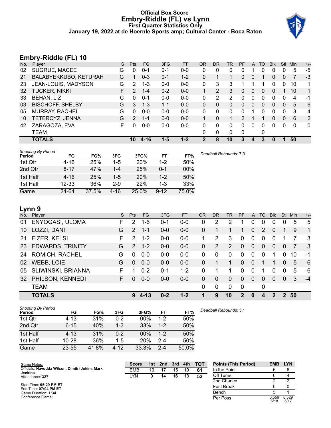## **Official Box Score Embry-Riddle (FL) vs Lynn First Quarter Statistics Only January 19, 2022 at de Hoernle Sports amp; Cultural Center - Boca Raton**



## **Embry-Riddle (FL) 10**

| No. | Player                  | S | <b>Pts</b>  | FG       | 3FG     | <b>FT</b> | <b>OR</b>    | DR            | TR | PF          | A            | TO | <b>Blk</b> | <b>Stl</b>   | Min         | $+/-$          |
|-----|-------------------------|---|-------------|----------|---------|-----------|--------------|---------------|----|-------------|--------------|----|------------|--------------|-------------|----------------|
| 02  | <b>SUGRUE, MACEE</b>    | G | 0           | $0 - 1$  | $0 - 1$ | $0 - 0$   | 0            | 0             | 0  | 0           |              | 0  | 0          | 0            | 5           | $-5$           |
| 21  | BALABYEKKUBO, KETURAH   | G |             | $0 - 3$  | $0 - 1$ | $1 - 2$   | 0            |               |    | 0           | $\mathbf{0}$ |    | 0          | $\mathbf{0}$ |             | $-3$           |
| 23  | JEAN-LOUIS, MADYSON     | G | 2           | 1-3      | $0 - 0$ | $0 - 0$   | 0            | 3             | 3  |             |              |    | 0          | 0            | 10          | 1              |
| 32  | <b>TUCKER, NIKKI</b>    | F | 2           | $1 - 4$  | $0 - 2$ | $0 - 0$   | $\mathbf{1}$ | $\mathcal{P}$ | 3  | 0           | $\Omega$     | 0  | 0          |              | 10          | 1              |
| 33  | <b>BEHAN, LIZ</b>       | C | 0           | $0 - 1$  | $0-0$   | $0-0$     | 0            | 2             | 2  | 0           | $\Omega$     | 0  | 0          | 0            | 4           | -1             |
| 03  | <b>BISCHOFF, SHELBY</b> | G | 3           | $1 - 3$  | $1 - 1$ | $0 - 0$   | 0            | 0             | 0  | 0           | $\mathbf{0}$ | 0  | 0          | $\mathbf{0}$ | 5           | 6              |
| 05  | <b>MURRAY, RACHEL</b>   | G | 0           | $0 - 0$  | $0 - 0$ | $0 - 0$   | 0            | 0             | 0  | 0           |              | 0  | 0          | 0            | 3           | $\overline{4}$ |
| 10  | TETERCYZ, JENNA         | G | $2^{\circ}$ | $1 - 1$  | $0 - 0$ | $0 - 0$   |              | 0             | 1  | 2           |              |    | 0          | $\mathbf{0}$ | 6           | 2              |
| 42  | ZARAGOZA, EVA           | F | 0           | $0 - 0$  | $0-0$   | $0 - 0$   | 0            | $\Omega$      | 0  | $\Omega$    | $\Omega$     | 0  | 0          | $\Omega$     | $\mathbf 0$ | $\mathbf{0}$   |
|     | TEAM                    |   |             |          |         |           | 0            | $\mathbf{0}$  | 0  | $\mathbf 0$ |              | 0  |            |              |             |                |
|     | <b>TOTALS</b>           |   | 10          | $4 - 16$ | $1 - 5$ | $1 - 2$   | 2            | 8             | 10 | 3           | 4            | 3  | $\bf{0}$   |              | 50          |                |

| <b>Shooting By Period</b><br>Period | FG        | FG%   | 3FG     | 3FG%       | FT       | FT%   | Deadball Rebounds: 7,3 |
|-------------------------------------|-----------|-------|---------|------------|----------|-------|------------------------|
| 1st Qtr                             | $4 - 16$  | 25%   | $1-5$   | <b>20%</b> | $1 - 2$  | 50%   |                        |
| 2nd Qtr                             | $8 - 17$  | 47%   | $1 - 4$ | 25%        | 0-1      | 00%   |                        |
| 1st Half                            | $4 - 16$  | 25%   | $1 - 5$ | 20%        | $1 - 2$  | 50%   |                        |
| 1st Half                            | $12 - 33$ | 36%   | $2-9$   | 22%        | $1 - 3$  | 33%   |                        |
| Game                                | 24-64     | 37.5% | 4-16    | 25.0%      | $9 - 12$ | 75.0% |                        |

# **Lynn 9**

|           | <b>TOTALS</b>           |    | 9             | 4-13      | $0 - 2$ | $1 - 2$ | 1            | 9            | 10       | $\mathbf{2}$   | $\bf{0}$     | 4             | $\mathcal{P}$  |                | 2 50 |                |
|-----------|-------------------------|----|---------------|-----------|---------|---------|--------------|--------------|----------|----------------|--------------|---------------|----------------|----------------|------|----------------|
|           | <b>TEAM</b>             |    |               |           |         |         | $\Omega$     | 0            | $\Omega$ | $\mathbf 0$    |              | 0             |                |                |      |                |
| 32        | PHILSON, KENNEDI        | F. | 0             | $0 - 0$   | $0 - 0$ | $0 - 0$ | $\Omega$     | $\mathbf{0}$ | $\Omega$ | $\Omega$       | $\Omega$     | $\Omega$      | $\Omega$       | $\Omega$       | 3    | $-4$           |
| 05        | SLIWINSKI, BRIANNA      | F  |               | $0 - 2$   | $0 - 1$ | $1 - 2$ | 0            |              |          | $\Omega$       | $\Omega$     |               | $\Omega$       | $\Omega$       | 5    | -6             |
| 02        | <b>WEBB, LOIE</b>       | G  | $\Omega$      | $0 - 0$   | $0 - 0$ | $0 - 0$ | $\Omega$     |              |          | $\Omega$       | $\Omega$     | 1             |                | 0              | 5    | -6             |
| 24        | ROMICH, RACHEL          | G  | 0             | $0 - 0$   | $0-0$   | $0-0$   | $\Omega$     | $\Omega$     | $\Omega$ | $\Omega$       | $\Omega$     | $\Omega$      |                | 0              | 10   | -1             |
| <b>23</b> | <b>EDWARDS, TRINITY</b> | G  | $\mathcal{P}$ | $1 - 2$   | $0 - 0$ | $0-0$   | $\mathbf{0}$ | 2            | 2        | $\overline{0}$ | $\mathbf{0}$ | $\Omega$      | $\overline{0}$ | $\overline{0}$ |      | -3             |
| 21        | FIZER, KELSI            | F  | $\mathcal{P}$ | $1 - 2$   | $0 - 0$ | $0 - 0$ |              | 2            | 3        | $\Omega$       | 0            | 0             | $\Omega$       |                |      | -3             |
| 10        | LOZZI, DANI             | G  | $\mathcal{P}$ | $1 - 1$   | $0 - 0$ | $0-0$   | $\Omega$     |              |          |                | $\Omega$     | $\mathcal{P}$ | $\Omega$       |                | 9    | $\overline{1}$ |
| 01        | ENYOGASI, ULOMA         | F  | $\mathcal{P}$ | $1 - 6$   | 0-1     | $0-0$   | 0            | 2            | 2        |                | 0            | 0             | 0              | 0              | 5    | 5              |
| No.       | Plaver                  | S  | <b>Pts</b>    | <b>FG</b> | 3FG     | FT      | <b>OR</b>    | DR.          | TR       | <b>PF</b>      | A            | TO            | <b>BIK</b>     | Stl            | Min  | $+/-$          |

| <b>Shooting By Period</b><br>Period | FG        | FG%   | 3FG      | 3FG%       | FT      | FT%   | Deadball Rebounds: 3,1 |
|-------------------------------------|-----------|-------|----------|------------|---------|-------|------------------------|
| 1st Qtr                             | $4 - 13$  | 31%   | $0 - 2$  | 00%        | $1 - 2$ | 50%   |                        |
| 2nd Qtr                             | $6 - 15$  | 40%   | 1-3      | 33%        | $1-2$   | 50%   |                        |
| 1st Half                            | $4 - 13$  | 31%   | $0 - 2$  | $00\%$     | $1-2$   | 50%   |                        |
| 1st Half                            | $10 - 28$ | 36%   | $1-5$    | <b>20%</b> | $2 - 4$ | 50%   |                        |
| Game                                | $23 - 55$ | 41.8% | $4 - 12$ | 33.3%      | $2 - 4$ | 50.0% |                        |

| Game Notes:                                                      | <b>Score</b> | 1st | 2nd | 3rd | 4th | <b>TOT</b> | <b>Points (This Period)</b> | <b>EMB</b>    | <b>LYN</b>    |
|------------------------------------------------------------------|--------------|-----|-----|-----|-----|------------|-----------------------------|---------------|---------------|
| Officials: Navodda Wilson, Dimitri Jokim, Mark<br><b>Jenkins</b> | <b>EMB</b>   | 10  |     | 15  | 19  | 61         | In the Paint                |               |               |
| Attendance: 327                                                  | LYN          | 9   |     | 16  |     | 52         | Off Turns                   |               |               |
|                                                                  |              |     |     |     |     |            | 2nd Chance                  |               |               |
| Start Time: 05:29 PM ET<br>End Time: 07:04 PM ET                 |              |     |     |     |     |            | <b>Fast Break</b>           |               |               |
| Game Duration: 1:34                                              |              |     |     |     |     |            | Bench                       |               |               |
| Conference Game:                                                 |              |     |     |     |     |            | Per Poss                    | 0.556<br>5/18 | 0.529<br>5/17 |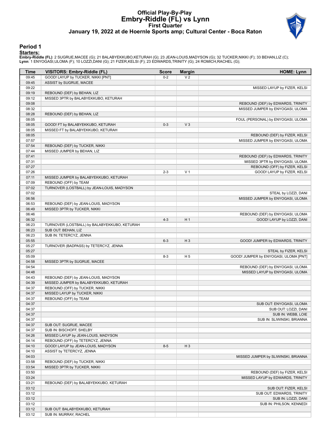## **Official Play-By-Play Embry-Riddle (FL) vs Lynn First Quarter January 19, 2022 at de Hoernle Sports amp; Cultural Center - Boca Raton**



## **Period 1**

#### **Starters:**

**Embry-Riddle (FL)**: 2 SUGRUE,MACEE (G); 21 BALABYEKKUBO,KETURAH (G); 23 JEAN-LOUIS,MADYSON (G); 32 TUCKER,NIKKI (F); 33 BEHAN,LIZ (C);<br>**Lynn**: 1 ENYOGASI,ULOMA (F); 10 LOZZI,DANI (G); 21 FIZER,KELSI (F); 23 EDWARDS,TRINIT

| Time           | VISITORS: Embry-Riddle (FL)                                             | <b>Score</b> | <b>Margin</b>  | <b>HOME: Lynn</b>                                                 |
|----------------|-------------------------------------------------------------------------|--------------|----------------|-------------------------------------------------------------------|
| 09:45          | GOOD! LAYUP by TUCKER, NIKKI [PNT]                                      | $0 - 2$      | V <sub>2</sub> |                                                                   |
| 09:45          | ASSIST by SUGRUE, MACEE                                                 |              |                |                                                                   |
| 09:22          |                                                                         |              |                | MISSED LAYUP by FIZER, KELSI                                      |
| 09:19          | REBOUND (DEF) by BEHAN, LIZ                                             |              |                |                                                                   |
| 09:12          | MISSED 3PTR by BALABYEKKUBO, KETURAH                                    |              |                |                                                                   |
| 09:08          |                                                                         |              |                | REBOUND (DEF) by EDWARDS, TRINITY                                 |
| 08:32          |                                                                         |              |                | MISSED JUMPER by ENYOGASI, ULOMA                                  |
| 08:28          | REBOUND (DEF) by BEHAN, LIZ                                             |              |                |                                                                   |
| 08:05          |                                                                         |              |                | FOUL (PERSONAL) by ENYOGASI, ULOMA                                |
| 08:05          | GOOD! FT by BALABYEKKUBO, KETURAH                                       | $0 - 3$      | V <sub>3</sub> |                                                                   |
| 08:05          | MISSED FT by BALABYEKKUBO, KETURAH                                      |              |                |                                                                   |
| 08:05<br>07:57 |                                                                         |              |                | REBOUND (DEF) by FIZER, KELSI<br>MISSED JUMPER by ENYOGASI, ULOMA |
| 07:54          | REBOUND (DEF) by TUCKER, NIKKI                                          |              |                |                                                                   |
| 07:44          | MISSED JUMPER by BEHAN, LIZ                                             |              |                |                                                                   |
| 07:41          |                                                                         |              |                | REBOUND (DEF) by EDWARDS, TRINITY                                 |
| 07:31          |                                                                         |              |                | MISSED 3PTR by ENYOGASI, ULOMA                                    |
| 07:27          |                                                                         |              |                | REBOUND (OFF) by FIZER, KELSI                                     |
| 07:26          |                                                                         | $2 - 3$      | V <sub>1</sub> | GOOD! LAYUP by FIZER, KELSI                                       |
| 07:11          | MISSED JUMPER by BALABYEKKUBO, KETURAH                                  |              |                |                                                                   |
| 07:09          | REBOUND (OFF) by TEAM                                                   |              |                |                                                                   |
| 07:02          | TURNOVER (LOSTBALL) by JEAN-LOUIS, MADYSON                              |              |                |                                                                   |
| 07:02          |                                                                         |              |                | STEAL by LOZZI, DANI                                              |
| 06:56          |                                                                         |              |                | MISSED JUMPER by ENYOGASI, ULOMA                                  |
| 06:53          | REBOUND (DEF) by JEAN-LOUIS, MADYSON                                    |              |                |                                                                   |
| 06:49          | MISSED 3PTR by TUCKER, NIKKI                                            |              |                |                                                                   |
| 06:46          |                                                                         |              |                | REBOUND (DEF) by ENYOGASI, ULOMA                                  |
| 06:32          |                                                                         | $4 - 3$      | H <sub>1</sub> | GOOD! LAYUP by LOZZI, DANI                                        |
| 06:23          | TURNOVER (LOSTBALL) by BALABYEKKUBO, KETURAH                            |              |                |                                                                   |
| 06:23          | SUB OUT: BEHAN, LIZ                                                     |              |                |                                                                   |
| 06:23          | SUB IN: TETERCYZ, JENNA                                                 |              |                |                                                                   |
| 05:55          |                                                                         | $6 - 3$      | $H_3$          | GOOD! JUMPER by EDWARDS, TRINITY                                  |
| 05:27          | TURNOVER (BADPASS) by TETERCYZ, JENNA                                   |              |                |                                                                   |
| 05:27          |                                                                         |              |                | STEAL by FIZER, KELSI                                             |
| 05:09          |                                                                         | $8-3$        | H <sub>5</sub> | GOOD! JUMPER by ENYOGASI, ULOMA [PNT]                             |
| 04:58          | MISSED 3PTR by SUGRUE, MACEE                                            |              |                |                                                                   |
| 04:54          |                                                                         |              |                | REBOUND (DEF) by ENYOGASI, ULOMA                                  |
| 04:48          |                                                                         |              |                | MISSED LAYUP by ENYOGASI, ULOMA                                   |
| 04:43          | REBOUND (DEF) by JEAN-LOUIS, MADYSON                                    |              |                |                                                                   |
| 04:39          | MISSED JUMPER by BALABYEKKUBO, KETURAH                                  |              |                |                                                                   |
| 04:37          | REBOUND (OFF) by TUCKER, NIKKI                                          |              |                |                                                                   |
| 04:37          | MISSED LAYUP by TUCKER, NIKKI                                           |              |                |                                                                   |
| 04:37          | REBOUND (OFF) by TEAM                                                   |              |                |                                                                   |
| 04:37          |                                                                         |              |                | SUB OUT: ENYOGASI, ULOMA                                          |
| 04:37          |                                                                         |              |                | SUB OUT: LOZZI, DANI                                              |
| 04:37          |                                                                         |              |                | SUB IN: WEBB, LOIE                                                |
| 04:37          |                                                                         |              |                | SUB IN: SLIWINSKI, BRIANNA                                        |
| 04:37          | SUB OUT: SUGRUE, MACEE                                                  |              |                |                                                                   |
| 04:37          | SUB IN: BISCHOFF, SHELBY                                                |              |                |                                                                   |
| 04:26          | MISSED LAYUP by JEAN-LOUIS, MADYSON<br>REBOUND (OFF) by TETERCYZ, JENNA |              |                |                                                                   |
| 04:14<br>04:10 |                                                                         |              | $H_3$          |                                                                   |
| 04:10          | GOOD! LAYUP by JEAN-LOUIS, MADYSON<br>ASSIST by TETERCYZ, JENNA         | $8-5$        |                |                                                                   |
| 04:03          |                                                                         |              |                | MISSED JUMPER by SLIWINSKI, BRIANNA                               |
| 03:58          | REBOUND (DEF) by TUCKER, NIKKI                                          |              |                |                                                                   |
| 03:54          | MISSED 3PTR by TUCKER, NIKKI                                            |              |                |                                                                   |
| 03:50          |                                                                         |              |                | REBOUND (DEF) by FIZER, KELSI                                     |
| 03:24          |                                                                         |              |                | MISSED LAYUP by EDWARDS, TRINITY                                  |
| 03:21          | REBOUND (DEF) by BALABYEKKUBO, KETURAH                                  |              |                |                                                                   |
| 03:12          |                                                                         |              |                | SUB OUT: FIZER, KELSI                                             |
| 03:12          |                                                                         |              |                | SUB OUT: EDWARDS, TRINITY                                         |
| 03:12          |                                                                         |              |                | SUB IN: LOZZI, DANI                                               |
| 03:12          |                                                                         |              |                | SUB IN: PHILSON, KENNEDI                                          |
| 03:12          | SUB OUT: BALABYEKKUBO, KETURAH                                          |              |                |                                                                   |
| 03:12          | SUB IN: MURRAY, RACHEL                                                  |              |                |                                                                   |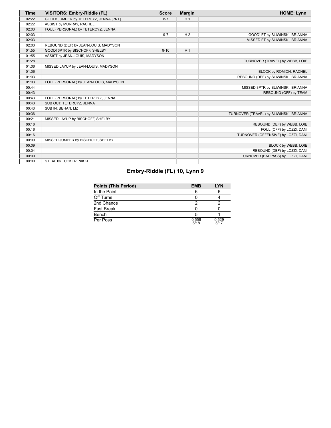| <b>Time</b> | VISITORS: Embry-Riddle (FL)            | <b>Score</b> | <b>Margin</b>  | <b>HOME: Lynn</b>                       |
|-------------|----------------------------------------|--------------|----------------|-----------------------------------------|
| 02:22       | GOOD! JUMPER by TETERCYZ, JENNA [PNT]  | $8 - 7$      | H <sub>1</sub> |                                         |
| 02:22       | ASSIST by MURRAY, RACHEL               |              |                |                                         |
| 02:03       | FOUL (PERSONAL) by TETERCYZ, JENNA     |              |                |                                         |
| 02:03       |                                        | $9 - 7$      | H <sub>2</sub> | GOOD! FT by SLIWINSKI, BRIANNA          |
| 02:03       |                                        |              |                | MISSED FT by SLIWINSKI, BRIANNA         |
| 02:03       | REBOUND (DEF) by JEAN-LOUIS, MADYSON   |              |                |                                         |
| 01:55       | GOOD! 3PTR by BISCHOFF, SHELBY         | $9 - 10$     | V <sub>1</sub> |                                         |
| 01:55       | ASSIST by JEAN-LOUIS, MADYSON          |              |                |                                         |
| 01:28       |                                        |              |                | TURNOVER (TRAVEL) by WEBB, LOIE         |
| 01:06       | MISSED LAYUP by JEAN-LOUIS, MADYSON    |              |                |                                         |
| 01:06       |                                        |              |                | BLOCK by ROMICH, RACHEL                 |
| 01:03       |                                        |              |                | REBOUND (DEF) by SLIWINSKI, BRIANNA     |
| 01:03       | FOUL (PERSONAL) by JEAN-LOUIS, MADYSON |              |                |                                         |
| 00:44       |                                        |              |                | MISSED 3PTR by SLIWINSKI, BRIANNA       |
| 00:43       |                                        |              |                | REBOUND (OFF) by TEAM                   |
| 00:43       | FOUL (PERSONAL) by TETERCYZ, JENNA     |              |                |                                         |
| 00:43       | SUB OUT: TETERCYZ, JENNA               |              |                |                                         |
| 00:43       | SUB IN: BEHAN, LIZ                     |              |                |                                         |
| 00:36       |                                        |              |                | TURNOVER (TRAVEL) by SLIWINSKI, BRIANNA |
| 00:21       | MISSED LAYUP by BISCHOFF, SHELBY       |              |                |                                         |
| 00:16       |                                        |              |                | REBOUND (DEF) by WEBB, LOIE             |
| 00:16       |                                        |              |                | FOUL (OFF) by LOZZI, DANI               |
| 00:16       |                                        |              |                | TURNOVER (OFFENSIVE) by LOZZI, DANI     |
| 00:09       | MISSED JUMPER by BISCHOFF, SHELBY      |              |                |                                         |
| 00:09       |                                        |              |                | BLOCK by WEBB, LOIE                     |
| 00:04       |                                        |              |                | REBOUND (DEF) by LOZZI, DANI            |
| 00:00       |                                        |              |                | TURNOVER (BADPASS) by LOZZI, DANI       |
| 00:00       | STEAL by TUCKER, NIKKI                 |              |                |                                         |

# **Embry-Riddle (FL) 10, Lynn 9**

| Points (This Period) | <b>EMB</b>    | <b>LYN</b>    |
|----------------------|---------------|---------------|
| In the Paint         |               |               |
| Off Turns            |               |               |
| 2nd Chance           |               |               |
| Fast Break           |               |               |
| Bench                |               |               |
| Per Poss             | 0.556<br>5/18 | 0.529<br>5/17 |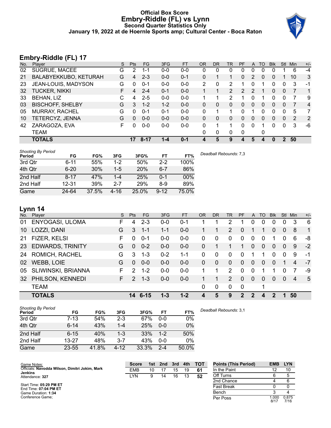## **Official Box Score Embry-Riddle (FL) vs Lynn Second Quarter Statistics Only January 19, 2022 at de Hoernle Sports amp; Cultural Center - Boca Raton**



# **Embry-Riddle (FL) 17**

| No. | $\overline{\phantom{a}}$<br>Plaver | S | <b>Pts</b> | FG       | 3FG     | <b>FT</b> | <b>OR</b> | DR           | TR | PF | $\mathsf{A}$ | TO       | <b>B</b> lk | Stl          | Min | $+/-$          |
|-----|------------------------------------|---|------------|----------|---------|-----------|-----------|--------------|----|----|--------------|----------|-------------|--------------|-----|----------------|
| 02  | SUGRUE, MACEE                      | G | 2          | 1-1      | $0 - 0$ | $0 - 0$   | 0         | 0            | 0  | 0  | 0            | 0        | 0           |              | 6   | $-4$           |
| 21  | BALABYEKKUBO, KETURAH              | G | 4          | $2 - 3$  | $0 - 0$ | $0 - 1$   | $\Omega$  |              |    | 0  | 2            | $\Omega$ | 0           |              | 10  | 3              |
| 23  | JEAN-LOUIS, MADYSON                | G | 0          | $0 - 1$  | $0-0$   | $0-0$     | 2         | 0            | 2  |    | 0            |          | 0           | 0            | 3   | -1             |
| 32  | <b>TUCKER, NIKKI</b>               | F | 4          | $2 - 4$  | $0 - 1$ | $0 - 0$   |           |              | 2  | 2  |              |          | 0           | $\mathbf{0}$ |     | 1              |
| 33  | <b>BEHAN, LIZ</b>                  | C | 4          | $2 - 5$  | $0-0$   | $0 - 0$   |           |              | 2  |    |              |          | 0           | 0            | 7   | 9              |
| 03  | <b>BISCHOFF, SHELBY</b>            | G | 3          | $1 - 2$  | $1 - 2$ | $0 - 0$   | 0         | 0            | 0  | 0  | 0            | 0        | 0           | $\mathbf{0}$ |     | $\overline{4}$ |
| 05  | <b>MURRAY, RACHEL</b>              | G | 0          | $0 - 1$  | $0 - 1$ | $0 - 0$   | 0         |              |    | 0  |              | 0        | 0           | 0            | 5   | 7              |
| 10  | TETERCYZ, JENNA                    | G | 0          | $0 - 0$  | $0 - 0$ | $0 - 0$   | 0         | 0            | 0  | 0  | $\Omega$     | 0        | 0           | $\Omega$     | 2   | 2              |
| 42  | ZARAGOZA, EVA                      | F | 0          | $0 - 0$  | $0-0$   | $0 - 0$   | 0         |              |    | 0  | $\Omega$     |          | 0           | $\Omega$     | 3   | -6             |
|     | TEAM                               |   |            |          |         |           | 0         | $\mathbf{0}$ | 0  | 0  |              | 0        |             |              |     |                |
|     | <b>TOTALS</b>                      |   | 17         | $8 - 17$ | 1-4     | $0 - 1$   | 4         | 5            | 9  | 4  | 5            | 4        | 0           | 2            | 50  |                |

| <b>Shooting By Period</b><br>Period | FG       | FG%   | 3FG   | 3FG%       | <b>FT</b> | FT%   | Deadball Rebounds: 7,3 |
|-------------------------------------|----------|-------|-------|------------|-----------|-------|------------------------|
| 3rd Qtr                             | $6 - 11$ | 55%   | $1-2$ | 50%        | $2 - 2$   | 100%  |                        |
| 4th Qtr                             | $6 - 20$ | 30%   | $1-5$ | <b>20%</b> | $6 - 7$   | 86%   |                        |
| 2nd Half                            | $8 - 17$ | 47%   | 1-4   | 25%        | $0 - 1$   | 00%   |                        |
| 2nd Half                            | 12-31    | 39%   | 2-7   | 29%        | $8-9$     | 89%   |                        |
| Game                                | 24-64    | 37.5% | 4-16  | 25.0%      | $9 - 12$  | 75.0% |                        |

## **Lynn 14**

| No.       | Plaver                  | S  | <b>Pts</b>     | <b>FG</b> | 3FG     | <b>FT</b> | <b>OR</b> | <b>DR</b> | TR            | <b>PF</b>    | $\mathsf{A}$   | TO             | <b>BIK</b>     | Stl            | Min | $+/-$          |
|-----------|-------------------------|----|----------------|-----------|---------|-----------|-----------|-----------|---------------|--------------|----------------|----------------|----------------|----------------|-----|----------------|
| 01        | ENYOGASI, ULOMA         | F  | 4              | $2 - 3$   | $0 - 0$ | $0 - 1$   |           |           | 2             |              | 0              | 0              | 0              | 0              | 3   | 6              |
| 10        | LOZZI, DANI             | G  | 3              | $1 - 1$   | $1 - 1$ | $0-0$     |           |           | 2             | $\Omega$     |                |                | 0              | $\Omega$       | -8  | $\overline{1}$ |
| 21        | FIZER, KELSI            | F  | $\Omega$       | $0 - 1$   | $0 - 0$ | $0-0$     | 0         | $\Omega$  | $\Omega$      | 0            | 0              | $\Omega$       | 1              | 0              | 6   | -8             |
| <b>23</b> | <b>EDWARDS, TRINITY</b> | G  | $\overline{0}$ | $0 - 2$   | $0 - 0$ | $0 - 0$   | $\Omega$  |           |               |              | $\overline{0}$ | $\overline{0}$ | $\overline{0}$ | $\overline{0}$ | 9   | $-2$           |
| 24        | ROMICH, RACHEL          | G  | 3              | $1 - 3$   | $0 - 2$ | $1 - 1$   | $\Omega$  | $\Omega$  | $\Omega$      | $\Omega$     |                |                | 0              | 0              | 9   | -1             |
| 02        | <b>WEBB, LOIE</b>       | G  | $\Omega$       | $0 - 0$   | $0 - 0$ | $0-0$     | $\Omega$  | $\Omega$  | $\Omega$      | $\Omega$     | $\Omega$       | $\Omega$       | $\Omega$       |                | 4   | $-7$           |
| 05        | SLIWINSKI, BRIANNA      | F. | $\mathcal{P}$  | $1 - 2$   | $0 - 0$ | $0 - 0$   |           |           | $\mathcal{P}$ | $\Omega$     | $\Omega$       |                |                | 0              |     | -9             |
| 32        | PHILSON, KENNEDI        | F. | $\mathcal{P}$  | $1 - 3$   | $0 - 0$ | $0-0$     |           |           | $\mathcal{P}$ | $\Omega$     | $\Omega$       | $\Omega$       | $\Omega$       | $\Omega$       | 4   | 5              |
|           | <b>TEAM</b>             |    |                |           |         |           | $\Omega$  | 0         | $\Omega$      | $\mathbf 0$  |                | 1              |                |                |     |                |
|           | <b>TOTALS</b>           |    | 14             | $6 - 15$  | $1 - 3$ | $1 - 2$   | 4         | 5         | 9             | $\mathbf{P}$ | 2              | 4              | $\overline{2}$ |                | 50  |                |

| <b>Shooting By Period</b><br>Period | FG        | FG%   | 3FG      | 3FG%  | FT      | FT%   |
|-------------------------------------|-----------|-------|----------|-------|---------|-------|
| 3rd Qtr                             | $7 - 13$  | 54%   | $2 - 3$  | 67%   | $0 - 0$ | 0%    |
| 4th Qtr                             | $6 - 14$  | 43%   | $1 - 4$  | 25%   | $0 - 0$ | 0%    |
| 2nd Half                            | $6 - 15$  | 40%   | 1-3      | 33%   | $1 - 2$ | 50%   |
| 2nd Half                            | $13 - 27$ | 48%   | $3 - 7$  | 43%   | $0 - 0$ | 0%    |
| Game                                | $23 - 55$ | 41.8% | $4 - 12$ | 33.3% | $2 - 4$ | 50.0% |

| Game Notes:                                                      | <b>Score</b> | 1st | 2nd | 3rd | 4th | тот | <b>Points (This Period)</b> | <b>EMB</b>   | <b>LYN</b>    |
|------------------------------------------------------------------|--------------|-----|-----|-----|-----|-----|-----------------------------|--------------|---------------|
| Officials: Navodda Wilson, Dimitri Jokim, Mark<br><b>Jenkins</b> | <b>EMB</b>   | 10  |     | 15  | 19  | 61  | In the Paint                |              | 10            |
| Attendance: 327                                                  | LYN          | 9   | 14  | 16  |     | 52  | Off Turns                   |              |               |
|                                                                  |              |     |     |     |     |     | 2nd Chance                  |              |               |
| Start Time: 05:29 PM ET<br>End Time: 07:04 PM ET                 |              |     |     |     |     |     | <b>Fast Break</b>           |              |               |
| Game Duration: 1:34                                              |              |     |     |     |     |     | Bench                       |              |               |
| Conference Game:                                                 |              |     |     |     |     |     | Per Poss                    | .000<br>8/17 | 0.875<br>7/16 |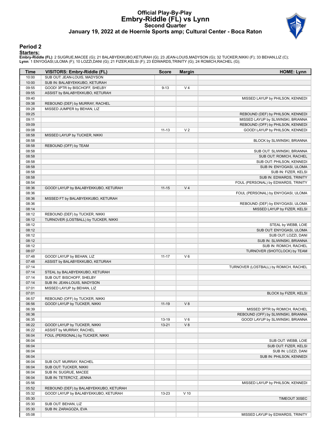## **Official Play-By-Play Embry-Riddle (FL) vs Lynn Second Quarter January 19, 2022 at de Hoernle Sports amp; Cultural Center - Boca Raton**



## **Period 2**

**Starters:**

**Embry-Riddle (FL)**: 2 SUGRUE,MACEE (G); 21 BALABYEKKUBO,KETURAH (G); 23 JEAN-LOUIS,MADYSON (G); 32 TUCKER,NIKKI (F); 33 BEHAN,LIZ (C);<br>**Lynn**: 1 ENYOGASI,ULOMA (F); 10 LOZZI,DANI (G); 21 FIZER,KELSI (F); 23 EDWARDS,TRINIT

| Time           | VISITORS: Embry-Riddle (FL)                     | <b>Score</b> | <b>Margin</b>  | <b>HOME: Lynn</b>                               |
|----------------|-------------------------------------------------|--------------|----------------|-------------------------------------------------|
| 10:00          | SUB OUT: JEAN-LOUIS, MADYSON                    |              |                |                                                 |
| 10:00          | SUB IN: BALABYEKKUBO, KETURAH                   |              |                |                                                 |
| 09:55          | GOOD! 3PTR by BISCHOFF, SHELBY                  | $9 - 13$     | V <sub>4</sub> |                                                 |
| 09:55          | ASSIST by BALABYEKKUBO, KETURAH                 |              |                |                                                 |
| 09:40          |                                                 |              |                | MISSED LAYUP by PHILSON, KENNEDI                |
| 09:38          | REBOUND (DEF) by MURRAY, RACHEL                 |              |                |                                                 |
| 09:28          | MISSED JUMPER by BEHAN, LIZ                     |              |                |                                                 |
| 09:25          |                                                 |              |                | REBOUND (DEF) by PHILSON, KENNEDI               |
| 09:11          |                                                 |              |                | MISSED LAYUP by SLIWINSKI, BRIANNA              |
| 09:09          |                                                 |              |                | REBOUND (OFF) by PHILSON, KENNEDI               |
| 09:08          |                                                 | $11 - 13$    | V <sub>2</sub> | GOOD! LAYUP by PHILSON, KENNEDI                 |
| 08:58          | MISSED LAYUP by TUCKER, NIKKI                   |              |                |                                                 |
| 08:58          |                                                 |              |                | BLOCK by SLIWINSKI, BRIANNA                     |
| 08:58          | REBOUND (OFF) by TEAM                           |              |                |                                                 |
| 08:58          |                                                 |              |                | SUB OUT: SLIWINSKI, BRIANNA                     |
| 08:58          |                                                 |              |                | SUB OUT: ROMICH, RACHEL                         |
| 08:58<br>08:58 |                                                 |              |                | SUB OUT: PHILSON, KENNEDI                       |
| 08:58          |                                                 |              |                | SUB IN: ENYOGASI, ULOMA<br>SUB IN: FIZER, KELSI |
| 08:58          |                                                 |              |                | SUB IN: EDWARDS, TRINITY                        |
| 08:54          |                                                 |              |                | FOUL (PERSONAL) by EDWARDS, TRINITY             |
| 08:36          | GOOD! LAYUP by BALABYEKKUBO, KETURAH            | $11 - 15$    | V <sub>4</sub> |                                                 |
| 08:36          |                                                 |              |                | FOUL (PERSONAL) by ENYOGASI, ULOMA              |
| 08:36          | MISSED FT by BALABYEKKUBO, KETURAH              |              |                |                                                 |
| 08:36          |                                                 |              |                | REBOUND (DEF) by ENYOGASI, ULOMA                |
| 08:14          |                                                 |              |                | MISSED LAYUP by FIZER, KELSI                    |
| 08:12          | REBOUND (DEF) by TUCKER, NIKKI                  |              |                |                                                 |
| 08:12          | TURNOVER (LOSTBALL) by TUCKER, NIKKI            |              |                |                                                 |
| 08:12          |                                                 |              |                | STEAL by WEBB, LOIE                             |
| 08:12          |                                                 |              |                | SUB OUT: ENYOGASI, ULOMA                        |
| 08:12          |                                                 |              |                | SUB OUT: LOZZI, DANI                            |
| 08:12          |                                                 |              |                | SUB IN: SLIWINSKI, BRIANNA                      |
| 08:12          |                                                 |              |                | SUB IN: ROMICH, RACHEL                          |
| 08:07          |                                                 |              |                | TURNOVER (SHOTCLOCK) by TEAM                    |
| 07:48          | GOOD! LAYUP by BEHAN, LIZ                       | $11 - 17$    | $V_6$          |                                                 |
| 07:48          | ASSIST by BALABYEKKUBO, KETURAH                 |              |                |                                                 |
| 07:14          |                                                 |              |                | TURNOVER (LOSTBALL) by ROMICH, RACHEL           |
| 07:14          | STEAL by BALABYEKKUBO, KETURAH                  |              |                |                                                 |
| 07:14          | SUB OUT: BISCHOFF, SHELBY                       |              |                |                                                 |
| 07:14          | SUB IN: JEAN-LOUIS, MADYSON                     |              |                |                                                 |
| 07:01          | MISSED LAYUP by BEHAN, LIZ                      |              |                |                                                 |
| 07:01          |                                                 |              |                | BLOCK by FIZER, KELSI                           |
| 06:57          | REBOUND (OFF) by TUCKER, NIKKI                  |              |                |                                                 |
| 06:56          | GOOD! LAYUP by TUCKER, NIKKI                    | $11 - 19$    | V8             |                                                 |
| 06:39          |                                                 |              |                | MISSED 3PTR by ROMICH, RACHEL                   |
| 06:36          |                                                 |              |                | REBOUND (OFF) by SLIWINSKI, BRIANNA             |
| 06:35          |                                                 | 13-19        | $V_6$          | GOOD! LAYUP by SLIWINSKI, BRIANNA               |
| 06:22          | GOOD! LAYUP by TUCKER, NIKKI                    | $13 - 21$    | V8             |                                                 |
| 06:22          | ASSIST by MURRAY, RACHEL                        |              |                |                                                 |
| 06:04          | FOUL (PERSONAL) by TUCKER, NIKKI                |              |                |                                                 |
| 06:04          |                                                 |              |                | SUB OUT: WEBB, LOIE                             |
| 06:04          |                                                 |              |                | SUB OUT: FIZER, KELSI                           |
| 06:04          |                                                 |              |                | SUB IN: LOZZI, DANI                             |
| 06:04          |                                                 |              |                | SUB IN: PHILSON, KENNEDI                        |
| 06:04<br>06:04 | SUB OUT: MURRAY, RACHEL                         |              |                |                                                 |
| 06:04          | SUB OUT: TUCKER, NIKKI<br>SUB IN: SUGRUE, MACEE |              |                |                                                 |
| 06:04          | SUB IN: TETERCYZ, JENNA                         |              |                |                                                 |
| 05:56          |                                                 |              |                | MISSED LAYUP by PHILSON, KENNEDI                |
| 05:52          | REBOUND (DEF) by BALABYEKKUBO, KETURAH          |              |                |                                                 |
| 05:32          | GOOD! LAYUP by BALABYEKKUBO, KETURAH            | 13-23        | $V$ 10         |                                                 |
| 05:30          |                                                 |              |                | TIMEOUT 30SEC                                   |
| 05:30          | SUB OUT: BEHAN, LIZ                             |              |                |                                                 |
| 05:30          | SUB IN: ZARAGOZA, EVA                           |              |                |                                                 |
| 05:08          |                                                 |              |                | MISSED LAYUP by EDWARDS, TRINITY                |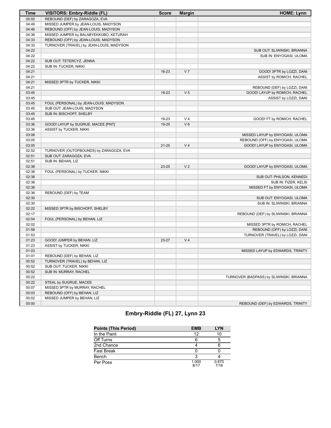| Time  | <b>VISITORS: Embry-Riddle (FL)</b>       | <b>Score</b> | <b>Margin</b>  | <b>HOME: Lynn</b>                        |
|-------|------------------------------------------|--------------|----------------|------------------------------------------|
| 05:05 | REBOUND (DEF) by ZARAGOZA, EVA           |              |                |                                          |
| 04:49 | MISSED JUMPER by JEAN-LOUIS, MADYSON     |              |                |                                          |
| 04:46 | REBOUND (OFF) by JEAN-LOUIS, MADYSON     |              |                |                                          |
| 04:36 | MISSED JUMPER by BALABYEKKUBO, KETURAH   |              |                |                                          |
| 04:33 | REBOUND (OFF) by JEAN-LOUIS, MADYSON     |              |                |                                          |
| 04:32 | TURNOVER (TRAVEL) by JEAN-LOUIS, MADYSON |              |                |                                          |
| 04:22 |                                          |              |                | SUB OUT: SLIWINSKI, BRIANNA              |
| 04:22 |                                          |              |                | SUB IN: ENYOGASI, ULOMA                  |
| 04:22 | SUB OUT: TETERCYZ, JENNA                 |              |                |                                          |
| 04:22 | SUB IN: TUCKER, NIKKI                    |              |                |                                          |
| 04:21 |                                          | 16-23        | V <sub>7</sub> | GOOD! 3PTR by LOZZI, DANI                |
| 04:21 |                                          |              |                | ASSIST by ROMICH, RACHEL                 |
| 04:21 | MISSED 3PTR by TUCKER, NIKKI             |              |                |                                          |
| 04:21 |                                          |              |                | REBOUND (DEF) by LOZZI, DANI             |
| 03:45 |                                          | 18-23        | V <sub>5</sub> | GOOD! LAYUP by ROMICH, RACHEL            |
| 03:45 |                                          |              |                | ASSIST by LOZZI, DANI                    |
| 03:45 | FOUL (PERSONAL) by JEAN-LOUIS, MADYSON   |              |                |                                          |
| 03:45 | SUB OUT: JEAN-LOUIS, MADYSON             |              |                |                                          |
| 03:45 | SUB IN: BISCHOFF, SHELBY                 |              |                |                                          |
| 03:45 |                                          | 19-23        | V <sub>4</sub> | GOOD! FT by ROMICH, RACHEL               |
| 03:36 | GOOD! LAYUP by SUGRUE, MACEE [PNT]       | 19-25        | $V_6$          |                                          |
| 03:36 | ASSIST by TUCKER, NIKKI                  |              |                |                                          |
| 03:08 |                                          |              |                | MISSED LAYUP by ENYOGASI, ULOMA          |
| 03:05 |                                          |              |                | REBOUND (OFF) by ENYOGASI, ULOMA         |
| 03:05 |                                          | $21 - 25$    | V <sub>4</sub> | GOOD! LAYUP by ENYOGASI, ULOMA           |
| 02:52 | TURNOVER (OUTOFBOUNDS) by ZARAGOZA, EVA  |              |                |                                          |
| 02:51 | SUB OUT: ZARAGOZA, EVA                   |              |                |                                          |
| 02:51 | SUB IN: BEHAN, LIZ                       |              |                |                                          |
| 02:38 |                                          | 23-25        | V <sub>2</sub> | GOOD! LAYUP by ENYOGASI, ULOMA           |
| 02:38 | FOUL (PERSONAL) by TUCKER, NIKKI         |              |                |                                          |
| 02:38 |                                          |              |                | SUB OUT: PHILSON, KENNEDI                |
| 02:38 |                                          |              |                | SUB IN: FIZER, KELSI                     |
| 02:38 |                                          |              |                | MISSED FT by ENYOGASI, ULOMA             |
| 02:36 | REBOUND (DEF) by TEAM                    |              |                |                                          |
| 02:30 |                                          |              |                | SUB OUT: ENYOGASI, ULOMA                 |
| 02:30 |                                          |              |                | SUB IN: SLIWINSKI, BRIANNA               |
| 02:22 | MISSED 3PTR by BISCHOFF, SHELBY          |              |                |                                          |
| 02:17 |                                          |              |                | REBOUND (DEF) by SLIWINSKI, BRIANNA      |
| 02:04 | FOUL (PERSONAL) by BEHAN, LIZ            |              |                |                                          |
| 02:02 |                                          |              |                | MISSED 3PTR by ROMICH, RACHEL            |
| 01:58 |                                          |              |                | REBOUND (OFF) by LOZZI, DANI             |
| 01:53 |                                          |              |                | TURNOVER (TRAVEL) by LOZZI, DANI         |
| 01:23 | GOOD! JUMPER by BEHAN, LIZ               | 23-27        | V <sub>4</sub> |                                          |
| 01:23 | ASSIST by TUCKER, NIKKI                  |              |                |                                          |
| 01:03 |                                          |              |                | MISSED LAYUP by EDWARDS, TRINITY         |
| 01:01 | REBOUND (DEF) by BEHAN, LIZ              |              |                |                                          |
| 00:52 | TURNOVER (TRAVEL) by BEHAN, LIZ          |              |                |                                          |
| 00:52 | SUB OUT: TUCKER, NIKKI                   |              |                |                                          |
| 00:52 | SUB IN: MURRAY, RACHEL                   |              |                |                                          |
| 00:22 |                                          |              |                | TURNOVER (BADPASS) by SLIWINSKI, BRIANNA |
| 00:22 | STEAL by SUGRUE, MACEE                   |              |                |                                          |
| 00:07 | MISSED 3PTR by MURRAY, RACHEL            |              |                |                                          |
| 00:03 | REBOUND (OFF) by BEHAN, LIZ              |              |                |                                          |
| 00:02 | MISSED JUMPER by BEHAN, LIZ              |              |                |                                          |
| 00:00 |                                          |              |                | REBOUND (DEF) by EDWARDS, TRINITY        |
|       |                                          |              |                |                                          |

# **Embry-Riddle (FL) 27, Lynn 23**

| <b>Points (This Period)</b> | <b>EMB</b>    | <b>LYN</b>    |
|-----------------------------|---------------|---------------|
| In the Paint                | 12            | 10            |
| Off Turns                   |               |               |
| 2nd Chance                  |               |               |
| <b>Fast Break</b>           |               |               |
| Bench                       |               |               |
| Per Poss                    | 1.000<br>R/17 | 0.875<br>7/16 |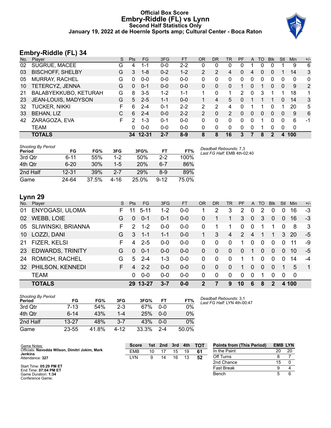## **Official Box Score Embry-Riddle (FL) vs Lynn Second Half Statistics Only January 19, 2022 at de Hoernle Sports amp; Cultural Center - Boca Raton**



# **Embry-Riddle (FL) 34**

| No. | Plaver                  | S | <b>Pts</b> | <b>FG</b> | 3FG     | <b>FT</b> | OR | <b>DR</b> | TR       | PF       | A | TO       | <b>B</b> lk | Stl | <b>Min</b> | $+/-$ |
|-----|-------------------------|---|------------|-----------|---------|-----------|----|-----------|----------|----------|---|----------|-------------|-----|------------|-------|
| 02  | SUGRUE, MACEE           | G | 4          | $1 - 1$   | $0 - 0$ | $2 - 2$   | 0  | 0         | 0        | 0        |   | 0        |             |     | 9          | 6     |
| 03  | <b>BISCHOFF, SHELBY</b> | G | 3          | $1 - 8$   | $0 - 2$ | $1 - 2$   | 2  | 2         | 4        | $\Omega$ | 4 | $\Omega$ | 0           |     | 14         | 3     |
| 05  | <b>MURRAY, RACHEL</b>   | G | $\Omega$   | $0 - 0$   | $0 - 0$ | $0 - 0$   | 0  | 0         | 0        | $\Omega$ | 0 | $\Omega$ | 0           | 0   | $\Omega$   | 0     |
| 10  | TETERCYZ, JENNA         | G | $\Omega$   | $0 - 1$   | $0 - 0$ | $0 - 0$   | 0  | 0         | 0        | 1        | 0 |          | 0           | 0   | 9          | 2     |
| 21  | BALABYEKKUBO, KETURAH   | G | 8          | $3 - 5$   | 1-2     | 1-1       |    | 0         | 1        | 2        | 0 | 3        |             | 1   | 18         |       |
| 23  | JEAN-LOUIS, MADYSON     | G | 5          | $2 - 5$   | $1 - 1$ | $0 - 0$   |    | 4         | 5        | 0        |   |          |             | 0   | 14         | 3     |
| 32  | <b>TUCKER, NIKKI</b>    | F | 6          | $2 - 4$   | $0 - 1$ | $2 - 2$   | 2  | 2         | 4        | 0        |   |          | 0           | 1   | 20         | 5     |
| 33  | BEHAN, LIZ              | C | 6          | $2 - 4$   | $0 - 0$ | $2 - 2$   | 2  | $\Omega$  | 2        | 0        | 0 | $\Omega$ | $\Omega$    | 0   | 9          | 6     |
| 42  | ZARAGOZA, EVA           | F | 2          | $1 - 3$   | $0 - 1$ | $0 - 0$   | 0  | $\Omega$  | 0        | $\Omega$ | 0 | 1        | 0           | 0   | 6          | $-1$  |
|     | <b>TEAM</b>             |   | 0          | $0 - 0$   | $0 - 0$ | $0 - 0$   | 0  | 0         | $\Omega$ | $\Omega$ | 0 |          | 0           | 0   | 0          |       |
|     | <b>TOTALS</b>           |   |            | 34 12-31  | $2 - 7$ | $8-9$     | 8  | 8         | 16       | 3        |   | 8        | 2           | 4   | 100        |       |

| <b>Shooting By Period</b><br>Period | FG       | FG%   | 3FG      | 3FG%  | FT       | FT%   | Deadball Rebounds: 7,3<br>Last FG Half: EMB 4th-02:40 |
|-------------------------------------|----------|-------|----------|-------|----------|-------|-------------------------------------------------------|
| 3rd Qtr                             | $6 - 11$ | 55%   | $1 - 2$  | 50%   | $2-2$    | 100%  |                                                       |
| 4th Qtr                             | $6 - 20$ | 30%   | $1 - 5$  | 20%   | $6 - 7$  | 86%   |                                                       |
| 2nd Half                            | 12-31    | 39%   | $2 - 7$  | 29%   | 8-9      | 89%   |                                                       |
| Game                                | 24-64    | 37.5% | $4 - 16$ | 25.0% | $9 - 12$ | 75.0% |                                                       |

# **Lynn 29**

| No.       | Player                  | S. | Pts           | FG.      | 3FG     | <b>FT</b> | 0R       | <b>DR</b>   | <b>TR</b>    | <b>PF</b>      | A              | TO       | <b>Blk</b>     | Stl            | Min       | $+/-$    |
|-----------|-------------------------|----|---------------|----------|---------|-----------|----------|-------------|--------------|----------------|----------------|----------|----------------|----------------|-----------|----------|
| 01        | ENYOGASI, ULOMA         | F. | 11            | $5 - 11$ | $1 - 2$ | $0 - 0$   |          | 2           | 3            | 2              | 0              | 2        | 0              | 0              | 16        | $-3$     |
| 02        | <b>WEBB, LOIE</b>       | G  | $\Omega$      | $0 - 1$  | $0 - 1$ | $0 - 0$   | 0        |             | 1            | 3              | $\mathbf{0}$   | 3        | $\overline{0}$ | $\overline{0}$ | 16        | -3       |
| 05        | SLIWINSKI, BRIANNA      | F. | $\mathcal{P}$ | $1 - 2$  | $0 - 0$ | $0 - 0$   | 0        | 1           | 1            | 0              | $\mathbf{0}$   |          |                | $\Omega$       | 8         | -3       |
| 10        | LOZZI, DANI             | G  | 3             | $1 - 1$  | $1 - 1$ | $0 - 0$   |          | 3           | 4            | $\mathcal{P}$  | $\overline{4}$ |          | 1              | 3              | <b>20</b> | -5       |
| 21        | FIZER, KELSI            | F  | 4             | $2 - 5$  | $0 - 0$ | $0 - 0$   | 0        | $\Omega$    | $\Omega$     | 1              | $\Omega$       | $\Omega$ | $\Omega$       | 0              | 11        | -9       |
| <b>23</b> | <b>EDWARDS, TRINITY</b> | G  | $\Omega$      | $0 - 1$  | $0 - 0$ | $0 - 0$   | 0        | $\Omega$    | $\Omega$     | $\overline{0}$ |                | 0        | $\overline{0}$ | $\Omega$       | 10        | -5       |
| 24        | <b>ROMICH, RACHEL</b>   | G  | 5             | $2 - 4$  | $1 - 3$ | $0 - 0$   | 0        | $\Omega$    | $\mathbf{0}$ | 1              |                | $\Omega$ | $\Omega$       | 0              | 14        | $-4$     |
| 32        | PHILSON, KENNEDI        | F. | 4             | $2 - 2$  | $0 - 0$ | $0 - 0$   | 0        | $\Omega$    | $\Omega$     |                | 0              | $\Omega$ | $\Omega$       |                | 5         | $\sim$ 1 |
|           | <b>TEAM</b>             |    | $\Omega$      | $0 - 0$  | $0 - 0$ | $0 - 0$   | $\Omega$ | $\mathbf 0$ | $\mathbf{0}$ | $\Omega$       | $\mathbf{0}$   | 1        | $\Omega$       | $\Omega$       | $\Omega$  |          |
|           | <b>TOTALS</b>           |    | 29            | 13-27    | $3 - 7$ | $0 - 0$   | 2        |             | 9            | 10             | 6              | 8        | 2              |                | 4 100     |          |

| <b>Shooting By Period</b><br>Period | FG        | FG%   | 3FG     | 3FG%  | FT      | FT%   |
|-------------------------------------|-----------|-------|---------|-------|---------|-------|
| 3rd Qtr                             | $7 - 13$  | 54%   | $2-3$   | 67%   | $0 - 0$ | 0%    |
| 4th Qtr                             | $6 - 14$  | 43%   | $1 - 4$ | 25%   | $0 - 0$ | 0%    |
| 2nd Half                            | $13 - 27$ | 48%   | $3 - 7$ | 43%   | $0 - 0$ | $0\%$ |
| Game                                | 23-55     | 41.8% | 4-12    | 33.3% | $2 - 4$ | 50.0% |

*Deadball Rebounds:* 3,1 *Last FG Half:* LYN 4th-00:47

| Game Notes:                                                      | <b>Score</b> | 1st | 2nd | 3rd | 4th | <b>TOT</b> | <b>Points from (This Period)</b> | <b>EMB LYN</b> |    |
|------------------------------------------------------------------|--------------|-----|-----|-----|-----|------------|----------------------------------|----------------|----|
| Officials: Navodda Wilson, Dimitri Jokim, Mark<br><b>Jenkins</b> | <b>EMB</b>   | 10  |     | 15  | 19  | 61         | In the Paint                     | 20             | 20 |
| Attendance: 327                                                  | LYN          |     | 14  | 16  | 13  | -52        | Off Turns                        |                |    |
|                                                                  |              |     |     |     |     |            | 2nd Chance                       |                |    |
| Start Time: 05:29 PM ET<br>End Time: 07:04 PM ET                 |              |     |     |     |     |            | <b>Fast Break</b>                |                |    |
| Game Duration: 1:34                                              |              |     |     |     |     |            | Bench                            |                |    |
| Conference Game;                                                 |              |     |     |     |     |            |                                  |                |    |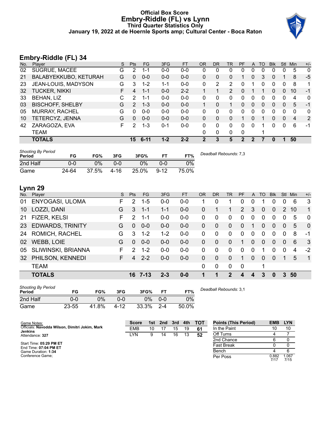## **Official Box Score Embry-Riddle (FL) vs Lynn Third Quarter Statistics Only January 19, 2022 at de Hoernle Sports amp; Cultural Center - Boca Raton**



# **Embry-Riddle (FL) 34**

| No. | $\overline{\phantom{a}}$<br>Player | S | <b>Pts</b> | <b>FG</b> | 3FG     | <b>FT</b> | <b>OR</b> | DR           | TR | PF          | $\mathsf{A}$ | TO | <b>B</b> lk | Stl          | Min | $+/-$        |
|-----|------------------------------------|---|------------|-----------|---------|-----------|-----------|--------------|----|-------------|--------------|----|-------------|--------------|-----|--------------|
| 02  | SUGRUE, MACEE                      | G | 2          | 1-1       | $0 - 0$ | $0 - 0$   | 0         | 0            | 0  | 0           | 0            | 0  | 0           |              | 5   | $\mathbf{0}$ |
| 21  | BALABYEKKUBO, KETURAH              | G | 0          | $0 - 0$   | $0 - 0$ | $0 - 0$   | $\Omega$  | 0            | 0  |             | $\Omega$     | 3  | 0           |              | 8   | $-5$         |
| 23  | JEAN-LOUIS, MADYSON                | G | 3          | $1 - 2$   | 1-1     | $0 - 0$   | 0         | 2            | 2  | 0           |              | 0  | 0           | 0            | 8   | 1            |
| 32  | <b>TUCKER, NIKKI</b>               | F | 4          | $1 - 1$   | $0 - 0$ | $2 - 2$   |           |              | 2  | 0           |              |    | 0           | $\Omega$     | 10  | $-1$         |
| 33  | <b>BEHAN, LIZ</b>                  | С | 2          | 1-1       | $0 - 0$ | $0 - 0$   | 0         | 0            | 0  | 0           | 0            | 0  | 0           | 0            | 4   | 0            |
| 03  | <b>BISCHOFF, SHELBY</b>            | G | 2          | $1 - 3$   | $0 - 0$ | $0 - 0$   |           | 0            | 1  | 0           | $\mathbf{0}$ | 0  | 0           | $\mathbf{0}$ | 5   | -1           |
| 05  | <b>MURRAY, RACHEL</b>              | G | 0          | $0 - 0$   | $0 - 0$ | $0 - 0$   | 0         | 0            | 0  | 0           | $\Omega$     | 0  | 0           | $\Omega$     | 0   | $\mathbf{0}$ |
| 10  | TETERCYZ, JENNA                    | G | 0          | $0 - 0$   | $0 - 0$ | $0 - 0$   | 0         | 0            | 0  |             | 0            |    | 0           | $\mathbf{0}$ | 4   | 2            |
| 42  | ZARAGOZA, EVA                      | F | 2          | $1 - 3$   | $0 - 1$ | $0 - 0$   | 0         | $\Omega$     | 0  | 0           | $\Omega$     |    | 0           | $\Omega$     | 6   | -1           |
|     | TEAM                               |   |            |           |         |           | $\Omega$  | $\mathbf{0}$ | 0  | $\mathbf 0$ |              |    |             |              |     |              |
|     | <b>TOTALS</b>                      |   | 15         | $6 - 11$  | $1 - 2$ | $2 - 2$   | 2         | 3            | 5  | 2           | 2            |    | 0           |              | 50  |              |

| <b>Shooting By Period</b><br>Period | FG    | FG%   | 3FG  | 3FG%  | FТ       | FT%   | Deadball Rebounds: 7,3 |
|-------------------------------------|-------|-------|------|-------|----------|-------|------------------------|
| 2nd Half                            | 0-0   | 0%    | 0-0  | 0%    | 0-0      | $0\%$ |                        |
| Game                                | 24-64 | 37.5% | 4-16 | 25.0% | $9 - 12$ | 75.0% |                        |

# **Lynn 29**

| No. | Plaver                  | S  | <b>Pts</b>    | FG.     | 3FG     | FT      | <b>OR</b> | DR       | TR           | <b>PF</b>   | $\mathsf{A}$ | TO       | <b>Blk</b>   | Stl            | Min | $+/-$          |
|-----|-------------------------|----|---------------|---------|---------|---------|-----------|----------|--------------|-------------|--------------|----------|--------------|----------------|-----|----------------|
| 01  | ENYOGASI, ULOMA         | F. | 2             | $1-5$   | $0 - 0$ | $0 - 0$ |           | 0        |              | 0           | 0            |          | 0            | 0              | 6   | 3              |
| 10  | LOZZI, DANI             | G  | 3             | $1 - 1$ | $1 - 1$ | $0-0$   | $\Omega$  |          |              | 2           | 3            | $\Omega$ | $\mathbf{0}$ | 2              | 10  | 1              |
| 21  | FIZER, KELSI            | F. | 2             | $1 - 1$ | $0 - 0$ | $0-0$   | $\Omega$  | 0        | $\Omega$     | $\Omega$    | $\Omega$     | $\Omega$ | $\Omega$     | 0              | 5   | $\Omega$       |
| 23  | <b>EDWARDS, TRINITY</b> | G  | $\Omega$      | $0 - 0$ | $0 - 0$ | $0 - 0$ | $\Omega$  | 0        | $\Omega$     | $\Omega$    | 1            | $\Omega$ | $\Omega$     | $\overline{0}$ | 5   | $\Omega$       |
| 24  | ROMICH, RACHEL          | G  | 3             | $1 - 2$ | $1 - 2$ | $0 - 0$ | 0         | 0        | $\Omega$     | $\Omega$    | $\Omega$     | $\Omega$ | $\Omega$     | $\Omega$       | 8   | -1             |
| 02  | WEBB, LOIE              | G  | $\Omega$      | $0 - 0$ | $0 - 0$ | $0 - 0$ | $\Omega$  | 0        | $\Omega$     | 1           | $\Omega$     | $\Omega$ | $\Omega$     | $\Omega$       | 6   | $\mathbf{3}$   |
| 05  | SLIWINSKI, BRIANNA      | F. | $\mathcal{P}$ | $1 - 2$ | $0-0$   | $0 - 0$ | 0         | 0        | $\Omega$     | $\Omega$    | $\Omega$     |          | $\Omega$     | $\Omega$       | 4   | $-2$           |
| 32  | PHILSON, KENNEDI        | F. | 4             | $2 - 2$ | $0 - 0$ | $0 - 0$ | $\Omega$  | $\Omega$ | $\mathbf{0}$ | 1           | $\mathbf{0}$ | $\Omega$ | $\Omega$     | 1              | 5   | $\overline{1}$ |
|     | <b>TEAM</b>             |    |               |         |         |         | $\Omega$  | 0        | $\Omega$     | $\mathbf 0$ |              | 1        |              |                |     |                |
|     | <b>TOTALS</b>           |    |               | 16 7-13 | $2 - 3$ | $0 - 0$ | 4         | 1        | 2            | 4           | 4            | 3        | $\bf{0}$     | 3              | 50  |                |

| <b>Shooting By Period</b><br>Period | FG        | FG%   | 3FG  | 3FG%  |         | FT%   |
|-------------------------------------|-----------|-------|------|-------|---------|-------|
| 2nd Half                            | 0-0       | 0%    | ი-ი  | 0%    | 0-0     | 0%    |
| Game                                | $23 - 55$ | 41.8% | 4-12 | 33.3% | $2 - 4$ | 50.0% |

*Deadball Rebounds:* 3,1

| Game Notes:                                                      | <b>Score</b> |    | 1st 2nd 3rd |    | 4th | <b>- тот</b> | <b>Points (This Period)</b> | <b>EMB</b> | <b>LYN</b>    |
|------------------------------------------------------------------|--------------|----|-------------|----|-----|--------------|-----------------------------|------------|---------------|
| Officials: Navodda Wilson, Dimitri Jokim, Mark<br><b>Jenkins</b> | <b>EMB</b>   | 10 |             | 15 | 19  | 61           | In the Paint                |            | 10            |
| Attendance: 327                                                  | LYN          | 9  | 14          | 16 | 13  | 52           | Off Turns                   |            |               |
|                                                                  |              |    |             |    |     |              | 2nd Chance                  |            |               |
| Start Time: 05:29 PM ET<br>End Time: 07:04 PM ET                 |              |    |             |    |     |              | Fast Break                  |            |               |
| Game Duration: 1:34                                              |              |    |             |    |     |              | Bench                       |            |               |
| Conference Game:                                                 |              |    |             |    |     |              | Per Poss                    | 0.882      | 1.067<br>7/15 |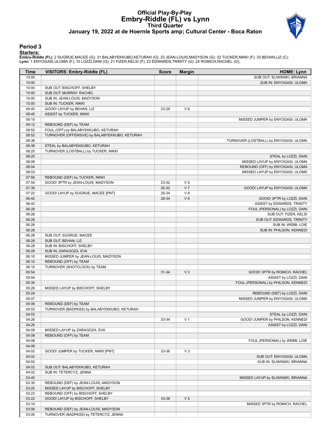## **Official Play-By-Play Embry-Riddle (FL) vs Lynn Third Quarter January 19, 2022 at de Hoernle Sports amp; Cultural Center - Boca Raton**



## **Period 3**

#### **Starters:**

**Embry-Riddle (FL)**: 2 SUGRUE,MACEE (G); 21 BALABYEKKUBO,KETURAH (G); 23 JEAN-LOUIS,MADYSON (G); 32 TUCKER,NIKKI (F); 33 BEHAN,LIZ (C);<br>**Lynn**: 1 ENYOGASI,ULOMA (F); 10 LOZZI,DANI (G); 21 FIZER,KELSI (F); 23 EDWARDS,TRINIT

| Time           | <b>VISITORS: Embry-Riddle (FL)</b>                                       | <b>Score</b> | <b>Margin</b>  | <b>HOME: Lynn</b>                                                |
|----------------|--------------------------------------------------------------------------|--------------|----------------|------------------------------------------------------------------|
| 10:00          |                                                                          |              |                | SUB OUT: SLIWINSKI, BRIANNA                                      |
| 10:00          |                                                                          |              |                | SUB IN: ENYOGASI, ULOMA                                          |
| 10:00          | SUB OUT: BISCHOFF, SHELBY                                                |              |                |                                                                  |
| 10:00          | SUB OUT: MURRAY, RACHEL                                                  |              |                |                                                                  |
| 10:00          | SUB IN: JEAN-LOUIS, MADYSON                                              |              |                |                                                                  |
| 10:00          | SUB IN: TUCKER, NIKKI                                                    |              |                |                                                                  |
| 09:40          | GOOD! LAYUP by BEHAN, LIZ                                                | 23-29        | $V_6$          |                                                                  |
| 09:40          | ASSIST by TUCKER, NIKKI                                                  |              |                |                                                                  |
| 09:15<br>09:12 | REBOUND (DEF) by TEAM                                                    |              |                | MISSED JUMPER by ENYOGASI, ULOMA                                 |
| 08:52          | FOUL (OFF) by BALABYEKKUBO, KETURAH                                      |              |                |                                                                  |
| 08:52          | TURNOVER (OFFENSIVE) by BALABYEKKUBO, KETURAH                            |              |                |                                                                  |
| 08:38          |                                                                          |              |                | TURNOVER (LOSTBALL) by ENYOGASI, ULOMA                           |
| 08:38          | STEAL by BALABYEKKUBO, KETURAH                                           |              |                |                                                                  |
| 08:25          | TURNOVER (LOSTBALL) by TUCKER, NIKKI                                     |              |                |                                                                  |
| 08:25          |                                                                          |              |                | STEAL by LOZZI, DANI                                             |
| 08:08          |                                                                          |              |                | MISSED LAYUP by ENYOGASI, ULOMA                                  |
| 08:04          |                                                                          |              |                | REBOUND (OFF) by ENYOGASI, ULOMA                                 |
| 08:03          |                                                                          |              |                | MISSED LAYUP by ENYOGASI, ULOMA                                  |
| 07:59          | REBOUND (DEF) by TUCKER, NIKKI                                           |              |                |                                                                  |
| 07:54          | GOOD! 3PTR by JEAN-LOUIS, MADYSON                                        | 23-32        | V <sub>9</sub> |                                                                  |
| 07:39          |                                                                          | 25-32        | V <sub>7</sub> | GOOD! LAYUP by ENYOGASI, ULOMA                                   |
| 07:22          | GOOD! LAYUP by SUGRUE, MACEE [PNT]                                       | 25-34        | V <sub>9</sub> |                                                                  |
| 06:42          |                                                                          | 28-34        | $V_6$          | GOOD! 3PTR by LOZZI, DANI                                        |
| 06:42          |                                                                          |              |                | ASSIST by EDWARDS, TRINITY                                       |
| 06:28<br>06:28 |                                                                          |              |                | FOUL (PERSONAL) by LOZZI, DANI<br>SUB OUT: FIZER, KELSI          |
| 06:28          |                                                                          |              |                | SUB OUT: EDWARDS, TRINITY                                        |
| 06:28          |                                                                          |              |                | SUB IN: WEBB, LOIE                                               |
| 06:28          |                                                                          |              |                | SUB IN: PHILSON, KENNEDI                                         |
| 06:28          | SUB OUT: SUGRUE, MACEE                                                   |              |                |                                                                  |
| 06:28          | SUB OUT: BEHAN, LIZ                                                      |              |                |                                                                  |
| 06:28          | SUB IN: BISCHOFF, SHELBY                                                 |              |                |                                                                  |
| 06:28          | SUB IN: ZARAGOZA, EVA                                                    |              |                |                                                                  |
| 06:10          | MISSED JUMPER by JEAN-LOUIS, MADYSON                                     |              |                |                                                                  |
| 06:10          | REBOUND (OFF) by TEAM                                                    |              |                |                                                                  |
| 06:10          | TURNOVER (SHOTCLOCK) by TEAM                                             |              |                |                                                                  |
| 05:54          |                                                                          | 31-34        | V <sub>3</sub> | GOOD! 3PTR by ROMICH, RACHEL                                     |
| 05:54          |                                                                          |              |                | ASSIST by LOZZI, DANI                                            |
| 05:35          |                                                                          |              |                | FOUL (PERSONAL) by PHILSON, KENNEDI                              |
| 05:26          | MISSED LAYUP by BISCHOFF, SHELBY                                         |              |                |                                                                  |
| 05:24<br>05:07 |                                                                          |              |                | REBOUND (DEF) by LOZZI, DANI<br>MISSED JUMPER by ENYOGASI, ULOMA |
| 05:06          | REBOUND (DEF) by TEAM                                                    |              |                |                                                                  |
| 04:53          | TURNOVER (BADPASS) by BALABYEKKUBO, KETURAH                              |              |                |                                                                  |
| 04:53          |                                                                          |              |                | STEAL by LOZZI, DANI                                             |
| 04:26          |                                                                          | 33-34        | V <sub>1</sub> | GOOD! JUMPER by PHILSON, KENNEDI                                 |
| 04:26          |                                                                          |              |                | ASSIST by LOZZI, DANI                                            |
| 04:09          | MISSED LAYUP by ZARAGOZA, EVA                                            |              |                |                                                                  |
| 04:08          | REBOUND (OFF) by TEAM                                                    |              |                |                                                                  |
| 04:08          |                                                                          |              |                | FOUL (PERSONAL) by WEBB, LOIE                                    |
| 04:08          |                                                                          |              |                |                                                                  |
| 04:02          | GOOD! JUMPER by TUCKER, NIKKI [PNT]                                      | 33-36        | $V_3$          |                                                                  |
| 04:02          |                                                                          |              |                | SUB OUT: ENYOGASI, ULOMA                                         |
| 04:02          |                                                                          |              |                | SUB IN: SLIWINSKI, BRIANNA                                       |
| 04:02          | SUB OUT: BALABYEKKUBO, KETURAH                                           |              |                |                                                                  |
| 04:02          | SUB IN: TETERCYZ, JENNA                                                  |              |                |                                                                  |
| 03:40          |                                                                          |              |                | MISSED LAYUP by SLIWINSKI, BRIANNA                               |
| 03:35<br>03:25 | REBOUND (DEF) by JEAN-LOUIS, MADYSON<br>MISSED LAYUP by BISCHOFF, SHELBY |              |                |                                                                  |
| 03:23          | REBOUND (OFF) by BISCHOFF, SHELBY                                        |              |                |                                                                  |
| 03:22          | GOOD! LAYUP by BISCHOFF, SHELBY                                          | 33-38        | V <sub>5</sub> |                                                                  |
| 03:10          |                                                                          |              |                | MISSED 3PTR by ROMICH, RACHEL                                    |
| 03:06          | REBOUND (DEF) by JEAN-LOUIS, MADYSON                                     |              |                |                                                                  |
| 03:00          | TURNOVER (BADPASS) by TETERCYZ, JENNA                                    |              |                |                                                                  |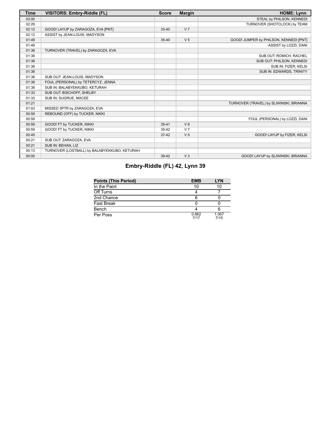| <b>Time</b> | <b>VISITORS: Embry-Riddle (FL)</b>           | <b>Score</b> | <b>Margin</b>  | <b>HOME: Lynn</b>                       |
|-------------|----------------------------------------------|--------------|----------------|-----------------------------------------|
| 03:00       |                                              |              |                | STEAL by PHILSON, KENNEDI               |
| 02:29       |                                              |              |                | TURNOVER (SHOTCLOCK) by TEAM            |
| 02:12       | GOOD! LAYUP by ZARAGOZA, EVA [PNT]           | $33 - 40$    | V <sub>7</sub> |                                         |
| 02:12       | ASSIST by JEAN-LOUIS, MADYSON                |              |                |                                         |
| 01:49       |                                              | $35 - 40$    | V <sub>5</sub> | GOOD! JUMPER by PHILSON, KENNEDI [PNT]  |
| 01:49       |                                              |              |                | ASSIST by LOZZI, DANI                   |
| 01:38       | TURNOVER (TRAVEL) by ZARAGOZA, EVA           |              |                |                                         |
| 01:38       |                                              |              |                | SUB OUT: ROMICH, RACHEL                 |
| 01:38       |                                              |              |                | SUB OUT: PHILSON, KENNEDI               |
| 01:38       |                                              |              |                | SUB IN: FIZER, KELSI                    |
| 01:38       |                                              |              |                | SUB IN: EDWARDS, TRINITY                |
| 01:38       | SUB OUT: JEAN-LOUIS, MADYSON                 |              |                |                                         |
| 01:38       | FOUL (PERSONAL) by TETERCYZ, JENNA           |              |                |                                         |
| 01:38       | SUB IN: BALABYEKKUBO, KETURAH                |              |                |                                         |
| 01:33       | SUB OUT: BISCHOFF, SHELBY                    |              |                |                                         |
| 01:33       | SUB IN: SUGRUE, MACEE                        |              |                |                                         |
| 01:21       |                                              |              |                | TURNOVER (TRAVEL) by SLIWINSKI, BRIANNA |
| 01:03       | MISSED 3PTR by ZARAGOZA, EVA                 |              |                |                                         |
| 00:59       | REBOUND (OFF) by TUCKER, NIKKI               |              |                |                                         |
| 00:59       |                                              |              |                | FOUL (PERSONAL) by LOZZI, DANI          |
| 00:59       | GOOD! FT by TUCKER, NIKKI                    | $35 - 41$    | V <sub>6</sub> |                                         |
| 00:59       | GOOD! FT by TUCKER, NIKKI                    | $35-42$      | V <sub>7</sub> |                                         |
| 00:45       |                                              | $37-42$      | V <sub>5</sub> | GOOD! LAYUP by FIZER, KELSI             |
| 00:21       | SUB OUT: ZARAGOZA, EVA                       |              |                |                                         |
| 00:21       | SUB IN: BEHAN, LIZ                           |              |                |                                         |
| 00:13       | TURNOVER (LOSTBALL) by BALABYEKKUBO, KETURAH |              |                |                                         |
| 00:00       |                                              | 39-42        | V <sub>3</sub> | GOOD! LAYUP by SLIWINSKI, BRIANNA       |

# **Embry-Riddle (FL) 42, Lynn 39**

| <b>Points (This Period)</b> | <b>EMB</b>    | <b>LYN</b>    |
|-----------------------------|---------------|---------------|
| In the Paint                | 10            | 10            |
| Off Turns                   |               |               |
| 2nd Chance                  |               |               |
| Fast Break                  |               |               |
| Bench                       |               |               |
| Per Poss                    | 0.882<br>7/17 | 1.067<br>7/15 |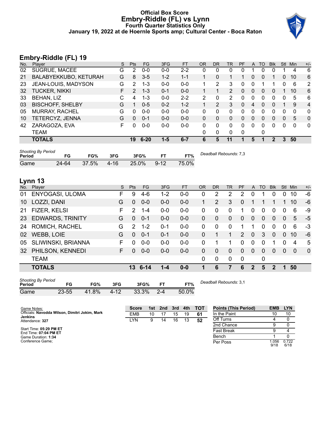## **Official Box Score Embry-Riddle (FL) vs Lynn Fourth Quarter Statistics Only January 19, 2022 at de Hoernle Sports amp; Cultural Center - Boca Raton**



## **Embry-Riddle (FL) 19**

| No. | . .<br>Plaver           | S  | <b>Pts</b> | <b>FG</b> | 3FG     | <b>FT</b> | <b>OR</b> | DR           | TR | <b>PF</b> | A            | TO       | <b>BIK</b> | Stl      | Min | $+/-$          |
|-----|-------------------------|----|------------|-----------|---------|-----------|-----------|--------------|----|-----------|--------------|----------|------------|----------|-----|----------------|
| 02  | SUGRUE, MACEE           | G  | 2          | $0 - 0$   | $0 - 0$ | $2 - 2$   | 0         | 0            | 0  | 0         |              | 0        | 0          |          | 4   | 6              |
| 21  | BALABYEKKUBO, KETURAH   | G  | 8          | $3-5$     | $1 - 2$ | $1 - 1$   |           | $\Omega$     | 1  |           | 0            | $\Omega$ | 1          | 0        | 10  | 6              |
| 23  | JEAN-LOUIS, MADYSON     | G  | 2          | $1 - 3$   | $0 - 0$ | $0 - 0$   | 1         | 2            | 3  | 0         | 0            |          | 1          | $\Omega$ | 6   | 2              |
| 32  | <b>TUCKER, NIKKI</b>    | F. | 2          | $1 - 3$   | $0 - 1$ | $0 - 0$   |           |              | 2  | 0         | $\mathbf{0}$ | $\Omega$ | $\Omega$   |          | 10  | 6              |
| 33  | <b>BEHAN, LIZ</b>       | С  | 4          | $1 - 3$   | $0-0$   | $2 - 2$   | 2         | 0            | 2  | 0         | 0            | 0        | 0          | 0        | 5   | 6              |
| 03  | <b>BISCHOFF, SHELBY</b> | G  |            | $0 - 5$   | $0 - 2$ | $1 - 2$   |           | 2            | 3  | 0         | 4            | $\Omega$ | 0          |          | 9   | 4              |
| 05  | <b>MURRAY, RACHEL</b>   | G  | U          | $0 - 0$   | $0 - 0$ | $0 - 0$   | 0         | 0            | 0  | 0         | 0            | 0        | 0          | 0        | 0   | $\mathbf{0}$   |
| 10  | TETERCYZ, JENNA         | G  | 0          | $0 - 1$   | $0 - 0$ | $0 - 0$   | 0         | 0            | 0  | 0         | $\mathbf{0}$ | 0        | 0          | 0        | 5   | $\mathbf{0}$   |
| 42  | ZARAGOZA, EVA           | F  | O          | $0 - 0$   | $0-0$   | $0 - 0$   | 0         | 0            | 0  | 0         | 0            | 0        | 0          | 0        | 0   | $\overline{0}$ |
|     | TEAM                    |    |            |           |         |           | 0         | $\mathbf{0}$ | 0  | 0         |              | 0        |            |          |     |                |
|     | <b>TOTALS</b>           |    | 19         | $6 - 20$  | $1 - 5$ | $6 - 7$   | 6         | 5            | 11 |           | 5            |          | 2          | 3        | 50  |                |

| <b>Shooting By Period</b><br>Period |       | FG%   | 3FG  | 3FG%  |          | FT%   | Deadball Rebounds: 7,3 |
|-------------------------------------|-------|-------|------|-------|----------|-------|------------------------|
| Game                                | 24-64 | 37.5% | 4-16 | 25.0% | $9 - 12$ | 75.0% |                        |

# **Lynn 13**

| No. | Player                                                                                          | S  | <b>Pts</b>    | FG      | 3FG     | <b>FT</b> | <b>OR</b> | <b>DR</b>      | TR       | PF             | A              | TO       | <b>BIK</b>   | <b>Stl</b>     | Min      | $+/-$        |
|-----|-------------------------------------------------------------------------------------------------|----|---------------|---------|---------|-----------|-----------|----------------|----------|----------------|----------------|----------|--------------|----------------|----------|--------------|
| 01  | ENYOGASI, ULOMA                                                                                 | F  | 9             | 4-6     | $1 - 2$ | $0 - 0$   | 0         | 2              | 2        | $\overline{2}$ | 0              |          | 0            | $\Omega$       | 10       | $-6$         |
| 10  | LOZZI, DANI                                                                                     | G  | $\Omega$      | $0-0$   | $0-0$   | $0-0$     | 1         | $\overline{2}$ | 3        | 0              |                |          |              |                | 10       | $-6$         |
| 21  | FIZER, KELSI                                                                                    | F  | 2             | 1-4     | $0-0$   | $0-0$     | 0         | 0              | 0        | 1              | 0              | $\Omega$ | 0            | 0              | 6        | -9           |
| 23  | <b>EDWARDS, TRINITY</b>                                                                         | G  | $\Omega$      | $0 - 1$ | $0 - 0$ | $0-0$     | 0         | 0              | $\Omega$ | 0              | $\overline{0}$ | $\Omega$ | 0            | $\mathbf{0}$   | 5        | $-5$         |
| 24  | <b>ROMICH, RACHEL</b>                                                                           | G  | $\mathcal{P}$ | $1 - 2$ | $0 - 1$ | $0 - 0$   | $\Omega$  | 0              | 0        |                |                | $\Omega$ | 0            | 0              | 6        | $-3$         |
| 02  | <b>WEBB, LOIE</b>                                                                               | G  | $\Omega$      | $0 - 1$ | $0 - 1$ | $0 - 0$   | 0         |                | 1        | $\overline{2}$ | $\mathbf{0}$   | 3        | $\Omega$     | $\Omega$       | 10       | $-6$         |
| 05  | SLIWINSKI, BRIANNA                                                                              | F  | $\Omega$      | $0-0$   | $0-0$   | $0-0$     | $\Omega$  |                |          | 0              | $\Omega$       | $\Omega$ |              | $\Omega$       | 4        | 5            |
| 32  | PHILSON, KENNEDI                                                                                | F. | $\Omega$      | $0 - 0$ | $0 - 0$ | $0 - 0$   | $\Omega$  | $\Omega$       | $\Omega$ | $\Omega$       | $\Omega$       | $\Omega$ | $\Omega$     | $\Omega$       | $\Omega$ | $\mathbf{0}$ |
|     | <b>TEAM</b>                                                                                     |    |               |         |         |           | $\Omega$  | 0              | $\Omega$ | 0              |                | 0        |              |                |          |              |
|     | <b>TOTALS</b>                                                                                   |    |               | 13 6-14 | 1-4     | $0 - 0$   | 1         | 6              | 7        | 6              | $\mathbf{2}$   | 5        | $\mathbf{2}$ | $\blacksquare$ | 50       |              |
|     | <b>Shooting By Period</b><br>Deadball Rebounds: 3.1<br>$-10$<br>EAM<br>$n = n!$<br>--<br>-^<br> |    |               |         |         |           |           |                |          |                |                |          |              |                |          |              |

**Period FG FG% 3FG 3FG% FT FT%** Game 23-55 41.8% 4-12 33.3% 2-4 50.0% *Deadball Rebounds:* 3,1

| aanie – | 23-00 41.0% 4-12 33.3% Z-4 0U.U% |  |  |
|---------|----------------------------------|--|--|
|         |                                  |  |  |
|         |                                  |  |  |

| <b>Score</b> |    | 1st 2nd 3rd 4th |    |    | тот | <b>Points (This Period)</b> | <b>EMB</b>    | <b>LYN</b>    |
|--------------|----|-----------------|----|----|-----|-----------------------------|---------------|---------------|
| EMB          | 10 | 17              | 15 | 19 | 61  | In the Paint                | 10            | 10            |
| <b>LYN</b>   | 9  | 14              | 16 | 13 | 52  | Off Turns                   |               |               |
|              |    |                 |    |    |     | 2nd Chance                  |               |               |
|              |    |                 |    |    |     | <b>Fast Break</b>           |               |               |
|              |    |                 |    |    |     | Bench                       |               |               |
|              |    |                 |    |    |     | Per Poss                    | 1.056<br>9/18 | 0.722<br>6/18 |

Start Time: **05:29 PM ET** End Time: **07:04 PM ET** Game Duration: **1:34** Conference Game;

**Jenkins** Attendance: **327**

Game Notes: Officials: **Navodda Wilson, Dimitri Jokim, Mark**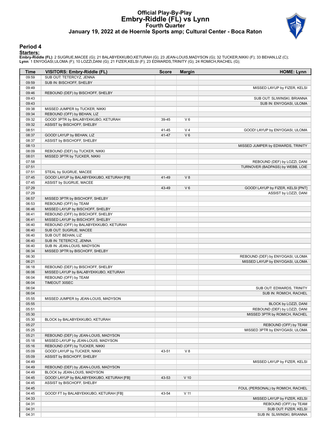## **Official Play-By-Play Embry-Riddle (FL) vs Lynn Fourth Quarter January 19, 2022 at de Hoernle Sports amp; Cultural Center - Boca Raton**



## **Period 4**

#### **Starters:**

**Embry-Riddle (FL)**: 2 SUGRUE,MACEE (G); 21 BALABYEKKUBO,KETURAH (G); 23 JEAN-LOUIS,MADYSON (G); 32 TUCKER,NIKKI (F); 33 BEHAN,LIZ (C);<br>**Lynn**: 1 ENYOGASI,ULOMA (F); 10 LOZZI,DANI (G); 21 FIZER,KELSI (F); 23 EDWARDS,TRINIT

| Time           | VISITORS: Embry-Riddle (FL)                                                | <b>Score</b> | <b>Margin</b>   | <b>HOME: Lynn</b>                                   |
|----------------|----------------------------------------------------------------------------|--------------|-----------------|-----------------------------------------------------|
| 09:59          | SUB OUT: TETERCYZ, JENNA                                                   |              |                 |                                                     |
| 09:59          | SUB IN: BISCHOFF, SHELBY                                                   |              |                 |                                                     |
| 09:49          |                                                                            |              |                 | MISSED LAYUP by FIZER, KELSI                        |
| 09:46          | REBOUND (DEF) by BISCHOFF, SHELBY                                          |              |                 |                                                     |
| 09:43          |                                                                            |              |                 | SUB OUT: SLIWINSKI, BRIANNA                         |
| 09:43          |                                                                            |              |                 | SUB IN: ENYOGASI, ULOMA                             |
| 09:38          | MISSED JUMPER by TUCKER, NIKKI                                             |              |                 |                                                     |
| 09:34          | REBOUND (OFF) by BEHAN, LIZ                                                |              |                 |                                                     |
| 09:32          | GOOD! 3PTR by BALABYEKKUBO, KETURAH                                        | 39-45        | $V_6$           |                                                     |
| 09:32          | ASSIST by BISCHOFF, SHELBY                                                 |              |                 |                                                     |
| 08:51          |                                                                            | 41-45        | V <sub>4</sub>  | GOOD! LAYUP by ENYOGASI, ULOMA                      |
| 08:37          | GOOD! LAYUP by BEHAN, LIZ                                                  | 41-47        | $V_6$           |                                                     |
| 08:37          | ASSIST by BISCHOFF, SHELBY                                                 |              |                 |                                                     |
| 08:13          |                                                                            |              |                 | MISSED JUMPER by EDWARDS, TRINITY                   |
| 08:09          | REBOUND (DEF) by TUCKER, NIKKI                                             |              |                 |                                                     |
| 08:01          | MISSED 3PTR by TUCKER, NIKKI                                               |              |                 |                                                     |
| 07:58          |                                                                            |              |                 | REBOUND (DEF) by LOZZI, DANI                        |
| 07:51          |                                                                            |              |                 | TURNOVER (BADPASS) by WEBB, LOIE                    |
| 07:51          | STEAL by SUGRUE, MACEE                                                     |              |                 |                                                     |
| 07:45          | GOOD! LAYUP by BALABYEKKUBO, KETURAH [FB]                                  | 41-49        | V8              |                                                     |
| 07:45          | ASSIST by SUGRUE, MACEE                                                    |              |                 |                                                     |
| 07:29          |                                                                            | 43-49        | $V_6$           | GOOD! LAYUP by FIZER, KELSI [PNT]                   |
| 07:29          |                                                                            |              |                 | ASSIST by LOZZI, DANI                               |
| 06:57          | MISSED 3PTR by BISCHOFF, SHELBY                                            |              |                 |                                                     |
| 06:53          | REBOUND (OFF) by TEAM                                                      |              |                 |                                                     |
| 06:46          | MISSED LAYUP by BISCHOFF, SHELBY                                           |              |                 |                                                     |
| 06:41          | REBOUND (OFF) by BISCHOFF, SHELBY                                          |              |                 |                                                     |
|                | MISSED LAYUP by BISCHOFF, SHELBY                                           |              |                 |                                                     |
| 06:41<br>06:40 |                                                                            |              |                 |                                                     |
|                | REBOUND (OFF) by BALABYEKKUBO, KETURAH                                     |              |                 |                                                     |
| 06:40<br>06:40 | SUB OUT: SUGRUE, MACEE                                                     |              |                 |                                                     |
| 06:40          | SUB OUT: BEHAN, LIZ                                                        |              |                 |                                                     |
|                | SUB IN: TETERCYZ, JENNA                                                    |              |                 |                                                     |
| 06:40          | SUB IN: JEAN-LOUIS, MADYSON                                                |              |                 |                                                     |
| 06:34<br>06:30 | MISSED 3PTR by BISCHOFF, SHELBY                                            |              |                 |                                                     |
| 06:21          |                                                                            |              |                 | REBOUND (DEF) by ENYOGASI, ULOMA                    |
|                |                                                                            |              |                 | MISSED LAYUP by ENYOGASI, ULOMA                     |
| 06:18<br>06:06 | REBOUND (DEF) by BISCHOFF, SHELBY<br>MISSED LAYUP by BALABYEKKUBO, KETURAH |              |                 |                                                     |
| 06:04          |                                                                            |              |                 |                                                     |
| 06:04          | REBOUND (OFF) by TEAM<br>TIMEOUT 30SEC                                     |              |                 |                                                     |
| 06:04          |                                                                            |              |                 |                                                     |
| 06:04          |                                                                            |              |                 | SUB OUT: EDWARDS, TRINITY<br>SUB IN: ROMICH, RACHEL |
|                |                                                                            |              |                 |                                                     |
| 05:55<br>05:55 | MISSED JUMPER by JEAN-LOUIS, MADYSON                                       |              |                 |                                                     |
|                |                                                                            |              |                 | BLOCK by LOZZI, DANI                                |
| 05:51          |                                                                            |              |                 | REBOUND (DEF) by LOZZI, DANI                        |
| 05:30          |                                                                            |              |                 | MISSED 3PTR by ROMICH, RACHEL                       |
| 05:30          | BLOCK by BALABYEKKUBO, KETURAH                                             |              |                 |                                                     |
| 05:27          |                                                                            |              |                 | REBOUND (OFF) by TEAM                               |
| 05:25          |                                                                            |              |                 | MISSED 3PTR by ENYOGASI, ULOMA                      |
| 05:21          | REBOUND (DEF) by JEAN-LOUIS, MADYSON                                       |              |                 |                                                     |
| 05:18          | MISSED LAYUP by JEAN-LOUIS, MADYSON                                        |              |                 |                                                     |
| 05:16          | REBOUND (OFF) by TUCKER, NIKKI                                             |              |                 |                                                     |
| 05:09          | GOOD! LAYUP by TUCKER, NIKKI                                               | 43-51        | V8              |                                                     |
| 05:09          | ASSIST by BISCHOFF, SHELBY                                                 |              |                 |                                                     |
| 04:49          |                                                                            |              |                 | MISSED LAYUP by FIZER, KELSI                        |
| 04:49          | REBOUND (DEF) by JEAN-LOUIS, MADYSON                                       |              |                 |                                                     |
| 04:49          | BLOCK by JEAN-LOUIS, MADYSON                                               |              |                 |                                                     |
| 04:45          | GOOD! LAYUP by BALABYEKKUBO, KETURAH [FB]                                  | 43-53        | $V$ 10          |                                                     |
| 04:45          | ASSIST by BISCHOFF, SHELBY                                                 |              |                 |                                                     |
| 04:45          |                                                                            |              |                 | FOUL (PERSONAL) by ROMICH, RACHEL                   |
| 04:45          | GOOD! FT by BALABYEKKUBO, KETURAH [FB]                                     | 43-54        | V <sub>11</sub> |                                                     |
| 04:33          |                                                                            |              |                 | MISSED LAYUP by FIZER, KELSI                        |
| 04:31          |                                                                            |              |                 | REBOUND (OFF) by TEAM                               |
| 04:31          |                                                                            |              |                 | SUB OUT: FIZER, KELSI                               |
| 04:31          |                                                                            |              |                 | SUB IN: SLIWINSKI, BRIANNA                          |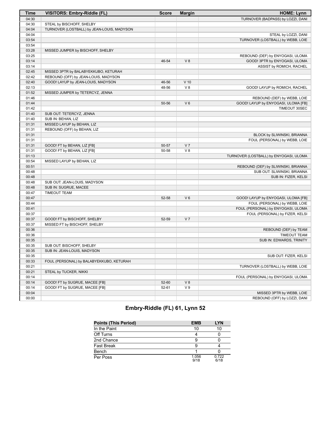| Time  | VISITORS: Embry-Riddle (FL)                | <b>Score</b> | <b>Margin</b>  | <b>HOME: Lynn</b>                      |
|-------|--------------------------------------------|--------------|----------------|----------------------------------------|
| 04:30 |                                            |              |                | TURNOVER (BADPASS) by LOZZI, DANI      |
| 04:30 | STEAL by BISCHOFF, SHELBY                  |              |                |                                        |
| 04:04 | TURNOVER (LOSTBALL) by JEAN-LOUIS, MADYSON |              |                |                                        |
| 04:04 |                                            |              |                | STEAL by LOZZI, DANI                   |
| 03:54 |                                            |              |                | TURNOVER (LOSTBALL) by WEBB, LOIE      |
| 03:54 |                                            |              |                |                                        |
| 03:28 | MISSED JUMPER by BISCHOFF, SHELBY          |              |                |                                        |
| 03:25 |                                            |              |                | REBOUND (DEF) by ENYOGASI, ULOMA       |
| 03:14 |                                            | 46-54        | V8             | GOOD! 3PTR by ENYOGASI, ULOMA          |
| 03:14 |                                            |              |                | ASSIST by ROMICH, RACHEL               |
| 02:45 | MISSED 3PTR by BALABYEKKUBO, KETURAH       |              |                |                                        |
| 02:42 | REBOUND (OFF) by JEAN-LOUIS, MADYSON       |              |                |                                        |
| 02:40 | GOOD! LAYUP by JEAN-LOUIS, MADYSON         | 46-56        | $V$ 10         |                                        |
| 02:13 |                                            | 48-56        | V8             | GOOD! LAYUP by ROMICH, RACHEL          |
| 01:52 | MISSED JUMPER by TETERCYZ, JENNA           |              |                |                                        |
| 01:46 |                                            |              |                | REBOUND (DEF) by WEBB, LOIE            |
| 01:44 |                                            | 50-56        | $V_6$          | GOOD! LAYUP by ENYOGASI, ULOMA [FB]    |
| 01:42 |                                            |              |                | TIMEOUT 30SEC                          |
| 01:40 | SUB OUT: TETERCYZ, JENNA                   |              |                |                                        |
| 01:40 | SUB IN: BEHAN, LIZ                         |              |                |                                        |
| 01:31 | MISSED LAYUP by BEHAN, LIZ                 |              |                |                                        |
| 01:31 | REBOUND (OFF) by BEHAN, LIZ                |              |                |                                        |
| 01:31 |                                            |              |                | BLOCK by SLIWINSKI, BRIANNA            |
| 01:31 |                                            |              |                | FOUL (PERSONAL) by WEBB, LOIE          |
| 01:31 | GOOD! FT by BEHAN, LIZ [FB]                | 50-57        | V <sub>7</sub> |                                        |
| 01:31 | GOOD! FT by BEHAN, LIZ [FB]                | 50-58        | $V_8$          |                                        |
| 01:13 |                                            |              |                | TURNOVER (LOSTBALL) by ENYOGASI, ULOMA |
| 00:54 | MISSED LAYUP by BEHAN, LIZ                 |              |                |                                        |
| 00:51 |                                            |              |                | REBOUND (DEF) by SLIWINSKI, BRIANNA    |
| 00:48 |                                            |              |                | SUB OUT: SLIWINSKI, BRIANNA            |
| 00:48 |                                            |              |                | SUB IN: FIZER, KELSI                   |
| 00:48 | SUB OUT: JEAN-LOUIS, MADYSON               |              |                |                                        |
| 00:48 | SUB IN: SUGRUE, MACEE                      |              |                |                                        |
| 00:47 | <b>TIMEOUT TEAM</b>                        |              |                |                                        |
| 00:47 |                                            | 52-58        | $V_6$          | GOOD! LAYUP by ENYOGASI, ULOMA [FB]    |
| 00:44 |                                            |              |                | FOUL (PERSONAL) by WEBB, LOIE          |
| 00:41 |                                            |              |                | FOUL (PERSONAL) by ENYOGASI, ULOMA     |
| 00:37 |                                            |              |                | FOUL (PERSONAL) by FIZER, KELSI        |
| 00:37 | GOOD! FT by BISCHOFF, SHELBY               | 52-59        | V <sub>7</sub> |                                        |
| 00:37 | MISSED FT by BISCHOFF, SHELBY              |              |                |                                        |
| 00:36 |                                            |              |                | REBOUND (DEF) by TEAM                  |
| 00:36 |                                            |              |                | <b>TIMEOUT TEAM</b>                    |
| 00:35 |                                            |              |                | SUB IN: EDWARDS, TRINITY               |
| 00:35 | SUB OUT: BISCHOFF, SHELBY                  |              |                |                                        |
| 00:35 | SUB IN: JEAN-LOUIS, MADYSON                |              |                |                                        |
| 00:35 |                                            |              |                | SUB OUT: FIZER, KELSI                  |
| 00:33 | FOUL (PERSONAL) by BALABYEKKUBO, KETURAH   |              |                |                                        |
| 00:21 |                                            |              |                | TURNOVER (LOSTBALL) by WEBB, LOIE      |
| 00:21 | STEAL by TUCKER, NIKKI                     |              |                |                                        |
| 00:14 |                                            |              |                | FOUL (PERSONAL) by ENYOGASI, ULOMA     |
| 00:14 | GOOD! FT by SUGRUE, MACEE [FB]             | 52-60        | V8             |                                        |
| 00:14 | GOOD! FT by SUGRUE, MACEE [FB]             | 52-61        | V <sub>9</sub> |                                        |
| 00:04 |                                            |              |                | MISSED 3PTR by WEBB, LOIE              |
| 00:00 |                                            |              |                | REBOUND (OFF) by LOZZI, DANI           |

# **Embry-Riddle (FL) 61, Lynn 52**

| <b>Points (This Period)</b> | <b>EMB</b>    | <b>LYN</b>    |
|-----------------------------|---------------|---------------|
| In the Paint                | 10            | 10            |
| Off Turns                   |               |               |
| 2nd Chance                  | 9             |               |
| <b>Fast Break</b>           | 9             |               |
| Bench                       |               |               |
| Per Poss                    | 1.056<br>9/18 | 0.722<br>6/18 |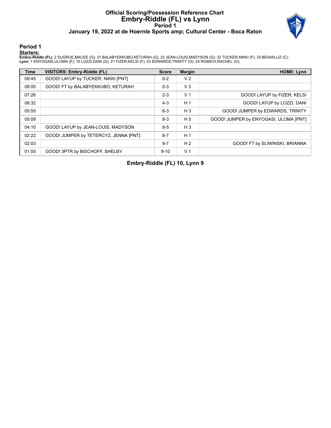## **Official Scoring/Possession Reference Chart Embry-Riddle (FL) vs Lynn Period 1 January 19, 2022 at de Hoernle Sports amp; Cultural Center - Boca Raton**



## **Period 1**

#### **Starters:**

**Embry-Riddle (FL)**: 2 SUGRUE,MACEE (G); 21 BALABYEKKUBO,KETURAH (G); 23 JEAN-LOUIS,MADYSON (G); 32 TUCKER,NIKKI (F); 33 BEHAN,LIZ (C);<br>**Lynn**: 1 ENYOGASI,ULOMA (F); 10 LOZZI,DANI (G); 21 FIZER,KELSI (F); 23 EDWARDS,TRINIT

| <b>Time</b> | VISITORS: Embry-Riddle (FL)           | <b>Score</b> | <b>Margin</b>  | <b>HOME: Lynn</b>                     |
|-------------|---------------------------------------|--------------|----------------|---------------------------------------|
| 09:45       | GOOD! LAYUP by TUCKER, NIKKI [PNT]    | $0 - 2$      | V <sub>2</sub> |                                       |
| 08:05       | GOOD! FT by BALABYEKKUBO, KETURAH     | $0 - 3$      | $V_3$          |                                       |
| 07:26       |                                       | $2 - 3$      | V <sub>1</sub> | GOOD! LAYUP by FIZER, KELSI           |
| 06:32       |                                       | $4 - 3$      | H <sub>1</sub> | GOOD! LAYUP by LOZZI, DANI            |
| 05:55       |                                       | $6 - 3$      | $H_3$          | GOOD! JUMPER by EDWARDS, TRINITY      |
| 05:09       |                                       | $8 - 3$      | H <sub>5</sub> | GOOD! JUMPER by ENYOGASI, ULOMA [PNT] |
| 04:10       | GOOD! LAYUP by JEAN-LOUIS, MADYSON    | $8 - 5$      | $H_3$          |                                       |
| 02:22       | GOOD! JUMPER by TETERCYZ, JENNA [PNT] | $8 - 7$      | H <sub>1</sub> |                                       |
| 02:03       |                                       | $9 - 7$      | H <sub>2</sub> | GOOD! FT by SLIWINSKI, BRIANNA        |
| 01:55       | GOOD! 3PTR by BISCHOFF, SHELBY        | $9 - 10$     | V <sub>1</sub> |                                       |

**Embry-Riddle (FL) 10, Lynn 9**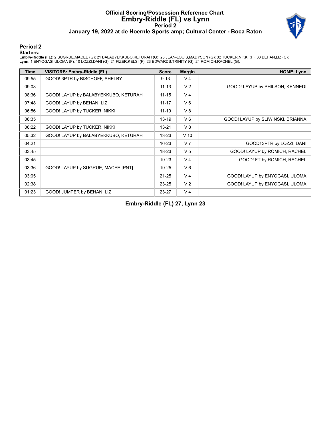## **Official Scoring/Possession Reference Chart Embry-Riddle (FL) vs Lynn Period 2 January 19, 2022 at de Hoernle Sports amp; Cultural Center - Boca Raton**



## **Period 2**

#### **Starters:**

**Embry-Riddle (FL)**: 2 SUGRUE,MACEE (G); 21 BALABYEKKUBO,KETURAH (G); 23 JEAN-LOUIS,MADYSON (G); 32 TUCKER,NIKKI (F); 33 BEHAN,LIZ (C);<br>**Lynn**: 1 ENYOGASI,ULOMA (F); 10 LOZZI,DANI (G); 21 FIZER,KELSI (F); 23 EDWARDS,TRINIT

| Time  | <b>VISITORS: Embry-Riddle (FL)</b>   | <b>Score</b> | <b>Margin</b>  | <b>HOME: Lynn</b>                 |
|-------|--------------------------------------|--------------|----------------|-----------------------------------|
| 09:55 | GOOD! 3PTR by BISCHOFF, SHELBY       | $9 - 13$     | V <sub>4</sub> |                                   |
| 09:08 |                                      | $11 - 13$    | V <sub>2</sub> | GOOD! LAYUP by PHILSON, KENNEDI   |
| 08:36 | GOOD! LAYUP by BALABYEKKUBO, KETURAH | $11 - 15$    | V <sub>4</sub> |                                   |
| 07:48 | GOOD! LAYUP by BEHAN, LIZ            | $11 - 17$    | $V_6$          |                                   |
| 06:56 | GOOD! LAYUP by TUCKER, NIKKI         | $11 - 19$    | V8             |                                   |
| 06:35 |                                      | $13 - 19$    | $V_6$          | GOOD! LAYUP by SLIWINSKI, BRIANNA |
| 06:22 | GOOD! LAYUP by TUCKER, NIKKI         | $13 - 21$    | V8             |                                   |
| 05:32 | GOOD! LAYUP by BALABYEKKUBO, KETURAH | $13 - 23$    | $V$ 10         |                                   |
| 04:21 |                                      | $16 - 23$    | V <sub>7</sub> | GOOD! 3PTR by LOZZI, DANI         |
| 03:45 |                                      | 18-23        | V <sub>5</sub> | GOOD! LAYUP by ROMICH, RACHEL     |
| 03:45 |                                      | 19-23        | V <sub>4</sub> | GOOD! FT by ROMICH, RACHEL        |
| 03:36 | GOOD! LAYUP by SUGRUE, MACEE [PNT]   | 19-25        | $V_6$          |                                   |
| 03:05 |                                      | $21 - 25$    | V <sub>4</sub> | GOOD! LAYUP by ENYOGASI, ULOMA    |
| 02:38 |                                      | $23 - 25$    | V <sub>2</sub> | GOOD! LAYUP by ENYOGASI, ULOMA    |
| 01:23 | GOOD! JUMPER by BEHAN, LIZ           | 23-27        | V <sub>4</sub> |                                   |

**Embry-Riddle (FL) 27, Lynn 23**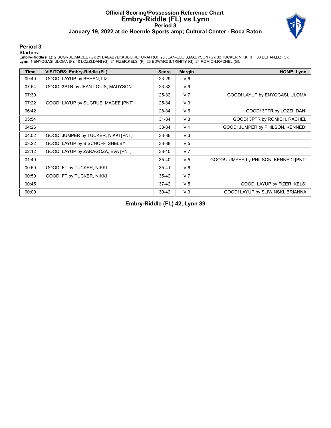## **Official Scoring/Possession Reference Chart Embry-Riddle (FL) vs Lynn Period 3 January 19, 2022 at de Hoernle Sports amp; Cultural Center - Boca Raton**



## **Period 3**

#### **Starters:**

**Embry-Riddle (FL)**: 2 SUGRUE,MACEE (G); 21 BALABYEKKUBO,KETURAH (G); 23 JEAN-LOUIS,MADYSON (G); 32 TUCKER,NIKKI (F); 33 BEHAN,LIZ (C);<br>**Lynn**: 1 ENYOGASI,ULOMA (F); 10 LOZZI,DANI (G); 21 FIZER,KELSI (F); 23 EDWARDS,TRINIT

| <b>Time</b> | VISITORS: Embry-Riddle (FL)         | <b>Score</b> | <b>Margin</b>  | <b>HOME: Lynn</b>                      |
|-------------|-------------------------------------|--------------|----------------|----------------------------------------|
| 09:40       | GOOD! LAYUP by BEHAN, LIZ           | 23-29        | $V_6$          |                                        |
| 07:54       | GOOD! 3PTR by JEAN-LOUIS, MADYSON   | 23-32        | V <sub>9</sub> |                                        |
| 07:39       |                                     | 25-32        | V <sub>7</sub> | GOOD! LAYUP by ENYOGASI, ULOMA         |
| 07:22       | GOOD! LAYUP by SUGRUE, MACEE [PNT]  | 25-34        | V <sub>9</sub> |                                        |
| 06:42       |                                     | 28-34        | $V_6$          | GOOD! 3PTR by LOZZI, DANI              |
| 05:54       |                                     | $31 - 34$    | V <sub>3</sub> | GOOD! 3PTR by ROMICH, RACHEL           |
| 04:26       |                                     | 33-34        | V <sub>1</sub> | GOOD! JUMPER by PHILSON, KENNEDI       |
| 04:02       | GOOD! JUMPER by TUCKER, NIKKI [PNT] | 33-36        | $V_3$          |                                        |
| 03:22       | GOOD! LAYUP by BISCHOFF, SHELBY     | 33-38        | V <sub>5</sub> |                                        |
| 02:12       | GOOD! LAYUP by ZARAGOZA, EVA [PNT]  | $33 - 40$    | V <sub>7</sub> |                                        |
| 01:49       |                                     | $35 - 40$    | V <sub>5</sub> | GOOD! JUMPER by PHILSON, KENNEDI [PNT] |
| 00:59       | GOOD! FT by TUCKER, NIKKI           | $35 - 41$    | $V_6$          |                                        |
| 00:59       | GOOD! FT by TUCKER, NIKKI           | $35 - 42$    | V <sub>7</sub> |                                        |
| 00:45       |                                     | $37-42$      | V <sub>5</sub> | GOOD! LAYUP by FIZER, KELSI            |
| 00:00       |                                     | 39-42        | V <sub>3</sub> | GOOD! LAYUP by SLIWINSKI, BRIANNA      |

**Embry-Riddle (FL) 42, Lynn 39**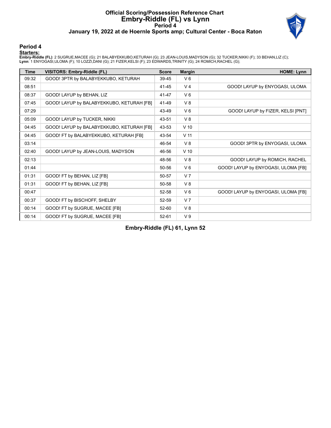## **Official Scoring/Possession Reference Chart Embry-Riddle (FL) vs Lynn Period 4 January 19, 2022 at de Hoernle Sports amp; Cultural Center - Boca Raton**



## **Period 4**

#### **Starters:**

**Embry-Riddle (FL)**: 2 SUGRUE,MACEE (G); 21 BALABYEKKUBO,KETURAH (G); 23 JEAN-LOUIS,MADYSON (G); 32 TUCKER,NIKKI (F); 33 BEHAN,LIZ (C);<br>**Lynn**: 1 ENYOGASI,ULOMA (F); 10 LOZZI,DANI (G); 21 FIZER,KELSI (F); 23 EDWARDS,TRINIT

| <b>Time</b> | <b>VISITORS: Embry-Riddle (FL)</b>        | <b>Score</b> | <b>Margin</b>   | <b>HOME: Lynn</b>                   |
|-------------|-------------------------------------------|--------------|-----------------|-------------------------------------|
| 09:32       | GOOD! 3PTR by BALABYEKKUBO, KETURAH       | 39-45        | $V_6$           |                                     |
| 08:51       |                                           | 41-45        | V <sub>4</sub>  | GOOD! LAYUP by ENYOGASI, ULOMA      |
| 08:37       | GOOD! LAYUP by BEHAN, LIZ                 | 41-47        | $V_6$           |                                     |
| 07:45       | GOOD! LAYUP by BALABYEKKUBO, KETURAH [FB] | 41-49        | $V_8$           |                                     |
| 07:29       |                                           | 43-49        | $V_6$           | GOOD! LAYUP by FIZER, KELSI [PNT]   |
| 05:09       | GOOD! LAYUP by TUCKER, NIKKI              | 43-51        | $V_8$           |                                     |
| 04:45       | GOOD! LAYUP by BALABYEKKUBO, KETURAH [FB] | 43-53        | $V$ 10          |                                     |
| 04:45       | GOOD! FT by BALABYEKKUBO, KETURAH [FB]    | 43-54        | V <sub>11</sub> |                                     |
| 03:14       |                                           | 46-54        | V8              | GOOD! 3PTR by ENYOGASI, ULOMA       |
| 02:40       | GOOD! LAYUP by JEAN-LOUIS, MADYSON        | 46-56        | $V$ 10          |                                     |
| 02:13       |                                           | 48-56        | $V_8$           | GOOD! LAYUP by ROMICH, RACHEL       |
| 01:44       |                                           | 50-56        | $V_6$           | GOOD! LAYUP by ENYOGASI, ULOMA [FB] |
| 01:31       | GOOD! FT by BEHAN, LIZ [FB]               | 50-57        | V <sub>7</sub>  |                                     |
| 01:31       | GOOD! FT by BEHAN, LIZ [FB]               | 50-58        | V8              |                                     |
| 00:47       |                                           | 52-58        | $V_6$           | GOOD! LAYUP by ENYOGASI, ULOMA [FB] |
| 00:37       | GOOD! FT by BISCHOFF, SHELBY              | 52-59        | V <sub>7</sub>  |                                     |
| 00:14       | GOOD! FT by SUGRUE, MACEE [FB]            | 52-60        | $V_8$           |                                     |
| 00:14       | GOOD! FT by SUGRUE, MACEE [FB]            | 52-61        | V <sub>9</sub>  |                                     |

**Embry-Riddle (FL) 61, Lynn 52**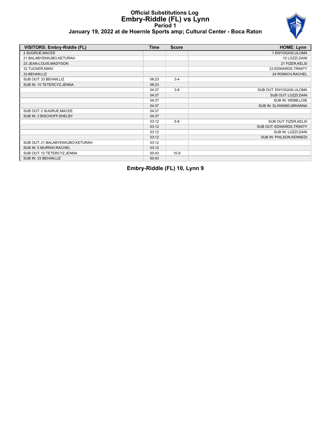

## **January 19, 2022 at de Hoernle Sports amp; Cultural Center - Boca Raton**

| VISITORS: Embry-Riddle (FL)       | Time  | <b>Score</b> | <b>HOME: Lynn</b>          |
|-----------------------------------|-------|--------------|----------------------------|
| 2 SUGRUE, MACEE                   |       |              | 1 ENYOGASI, ULOMA          |
| 21 BALABYEKKUBO, KETURAH          |       |              | 10 LOZZI, DANI             |
| 23 JEAN-LOUIS, MADYSON            |       |              | 21 FIZER, KELSI            |
| 32 TUCKER, NIKKI                  |       |              | 23 EDWARDS, TRINITY        |
| 33 BEHAN,LIZ                      |       |              | 24 ROMICH, RACHEL          |
| SUB OUT: 33 BEHAN, LIZ            | 06:23 | $3 - 4$      |                            |
| SUB IN: 10 TETERCYZ, JENNA        | 06:23 |              |                            |
|                                   | 04:37 | $3 - 8$      | SUB OUT: ENYOGASI, ULOMA   |
|                                   | 04:37 |              | SUB OUT: LOZZI, DANI       |
|                                   | 04:37 |              | SUB IN: WEBB, LOIE         |
|                                   | 04:37 |              | SUB IN: SLIWINSKI, BRIANNA |
| SUB OUT: 2 SUGRUE, MACEE          | 04:37 |              |                            |
| SUB IN: 3 BISCHOFF, SHELBY        | 04:37 |              |                            |
|                                   | 03:12 | $5 - 8$      | SUB OUT: FIZER, KELSI      |
|                                   | 03:12 |              | SUB OUT: EDWARDS, TRINITY  |
|                                   | 03:12 |              | SUB IN: LOZZI, DANI        |
|                                   | 03:12 |              | SUB IN: PHILSON, KENNEDI   |
| SUB OUT: 21 BALABYEKKUBO, KETURAH | 03:12 |              |                            |
| SUB IN: 5 MURRAY, RACHEL          | 03:12 |              |                            |
| SUB OUT: 10 TETERCYZ, JENNA       | 00:43 | $10-9$       |                            |
| SUB IN: 33 BEHAN, LIZ             | 00:43 |              |                            |

**Embry-Riddle (FL) 10, Lynn 9**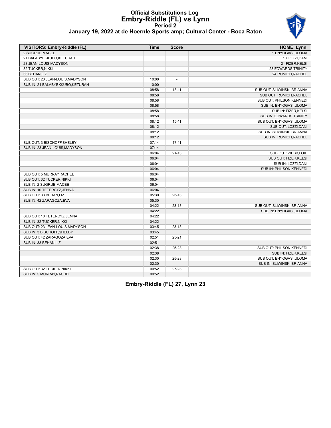

## **January 19, 2022 at de Hoernle Sports amp; Cultural Center - Boca Raton**

| VISITORS: Embry-Riddle (FL)      | <b>Time</b> | <b>Score</b>   | <b>HOME: Lynn</b>           |
|----------------------------------|-------------|----------------|-----------------------------|
| 2 SUGRUE, MACEE                  |             |                | 1 ENYOGASI, ULOMA           |
| 21 BALABYEKKUBO, KETURAH         |             |                | 10 LOZZI, DANI              |
| 23 JEAN-LOUIS.MADYSON            |             |                | 21 FIZER, KELSI             |
| 32 TUCKER, NIKKI                 |             |                | 23 EDWARDS, TRINITY         |
| 33 BEHAN, LIZ                    |             |                | 24 ROMICH, RACHEL           |
| SUB OUT: 23 JEAN-LOUIS, MADYSON  | 10:00       | $\overline{a}$ |                             |
| SUB IN: 21 BALABYEKKUBO, KETURAH | 10:00       |                |                             |
|                                  | 08:58       | $13 - 11$      | SUB OUT: SLIWINSKI, BRIANNA |
|                                  | 08:58       |                | SUB OUT: ROMICH, RACHEL     |
|                                  | 08:58       |                | SUB OUT: PHILSON, KENNEDI   |
|                                  | 08:58       |                | SUB IN: ENYOGASI, ULOMA     |
|                                  | 08:58       |                | SUB IN: FIZER, KELSI        |
|                                  | 08:58       |                | SUB IN: EDWARDS, TRINITY    |
|                                  | 08:12       | $15 - 11$      | SUB OUT: ENYOGASI, ULOMA    |
|                                  | 08:12       |                | SUB OUT: LOZZI, DANI        |
|                                  | 08:12       |                | SUB IN: SLIWINSKI, BRIANNA  |
|                                  | 08:12       |                | SUB IN: ROMICH, RACHEL      |
| SUB OUT: 3 BISCHOFF, SHELBY      | 07:14       | $17 - 11$      |                             |
| SUB IN: 23 JEAN-LOUIS, MADYSON   | 07:14       |                |                             |
|                                  | 06:04       | $21 - 13$      | SUB OUT: WEBB,LOIE          |
|                                  | 06:04       |                | SUB OUT: FIZER, KELSI       |
|                                  | 06:04       |                | SUB IN: LOZZI, DANI         |
|                                  | 06:04       |                | SUB IN: PHILSON, KENNEDI    |
| SUB OUT: 5 MURRAY, RACHEL        | 06:04       |                |                             |
| SUB OUT: 32 TUCKER, NIKKI        | 06:04       |                |                             |
| SUB IN: 2 SUGRUE MACEE           | 06:04       |                |                             |
| SUB IN: 10 TETERCYZ, JENNA       | 06:04       |                |                             |
| SUB OUT: 33 BEHAN, LIZ           | 05:30       | $23-13$        |                             |
| SUB IN: 42 ZARAGOZA, EVA         | 05:30       |                |                             |
|                                  | 04:22       | $23 - 13$      | SUB OUT: SLIWINSKI, BRIANNA |
|                                  | 04:22       |                | SUB IN: ENYOGASI, ULOMA     |
| SUB OUT: 10 TETERCYZ, JENNA      | 04:22       |                |                             |
| SUB IN: 32 TUCKER, NIKKI         | 04:22       |                |                             |
| SUB OUT: 23 JEAN-LOUIS, MADYSON  | 03:45       | $23 - 18$      |                             |
| SUB IN: 3 BISCHOFF, SHELBY       | 03:45       |                |                             |
| SUB OUT: 42 ZARAGOZA, EVA        | 02:51       | $25 - 21$      |                             |
| SUB IN: 33 BEHAN, LIZ            | 02:51       |                |                             |
|                                  | 02:38       | 25-23          | SUB OUT: PHILSON, KENNEDI   |
|                                  | 02:38       |                | SUB IN: FIZER, KELSI        |
|                                  | 02:30       | 25-23          | SUB OUT: ENYOGASI, ULOMA    |
|                                  | 02:30       |                | SUB IN: SLIWINSKI, BRIANNA  |
| SUB OUT: 32 TUCKER, NIKKI        | 00:52       | 27-23          |                             |
| SUB IN: 5 MURRAY, RACHEL         | 00:52       |                |                             |

**Embry-Riddle (FL) 27, Lynn 23**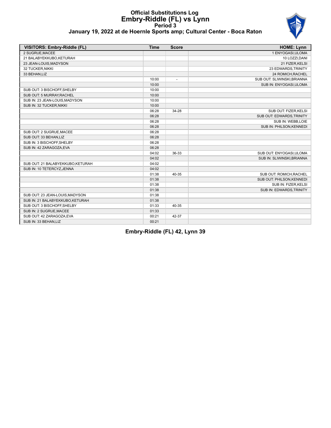

## **January 19, 2022 at de Hoernle Sports amp; Cultural Center - Boca Raton**

| <b>VISITORS: Embry-Riddle (FL)</b> | <b>Time</b> | <b>Score</b>             | <b>HOME: Lynn</b>           |
|------------------------------------|-------------|--------------------------|-----------------------------|
| 2 SUGRUE.MACEE                     |             |                          | 1 ENYOGASI, ULOMA           |
| 21 BALABYEKKUBO, KETURAH           |             |                          | 10 LOZZI.DANI               |
| 23 JEAN-LOUIS, MADYSON             |             |                          | 21 FIZER, KELSI             |
| 32 TUCKER, NIKKI                   |             |                          | 23 EDWARDS, TRINITY         |
| 33 BEHAN, LIZ                      |             |                          | 24 ROMICH, RACHEL           |
|                                    | 10:00       | $\overline{\phantom{a}}$ | SUB OUT: SLIWINSKI, BRIANNA |
|                                    | 10:00       |                          | SUB IN: ENYOGASI, ULOMA     |
| SUB OUT: 3 BISCHOFF, SHELBY        | 10:00       |                          |                             |
| SUB OUT: 5 MURRAY, RACHEL          | 10:00       |                          |                             |
| SUB IN: 23 JEAN-LOUIS, MADYSON     | 10:00       |                          |                             |
| SUB IN: 32 TUCKER, NIKKI           | 10:00       |                          |                             |
|                                    | 06:28       | 34-28                    | SUB OUT: FIZER, KELSI       |
|                                    | 06:28       |                          | SUB OUT: EDWARDS, TRINITY   |
|                                    | 06:28       |                          | SUB IN: WEBB,LOIE           |
|                                    | 06:28       |                          | SUB IN: PHILSON, KENNEDI    |
| SUB OUT: 2 SUGRUE, MACEE           | 06:28       |                          |                             |
| SUB OUT: 33 BEHAN.LIZ              | 06:28       |                          |                             |
| SUB IN: 3 BISCHOFF, SHELBY         | 06:28       |                          |                             |
| SUB IN: 42 ZARAGOZA.EVA            | 06:28       |                          |                             |
|                                    | 04:02       | 36-33                    | SUB OUT: ENYOGASI, ULOMA    |
|                                    | 04:02       |                          | SUB IN: SLIWINSKI.BRIANNA   |
| SUB OUT: 21 BALABYEKKUBO, KETURAH  | 04:02       |                          |                             |
| SUB IN: 10 TETERCYZ, JENNA         | 04:02       |                          |                             |
|                                    | 01:38       | 40-35                    | SUB OUT: ROMICH, RACHEL     |
|                                    | 01:38       |                          | SUB OUT: PHILSON, KENNEDI   |
|                                    | 01:38       |                          | SUB IN: FIZER, KELSI        |
|                                    | 01:38       |                          | SUB IN: EDWARDS, TRINITY    |
| SUB OUT: 23 JEAN-LOUIS, MADYSON    | 01:38       |                          |                             |
| SUB IN: 21 BALABYEKKUBO, KETURAH   | 01:38       |                          |                             |
| SUB OUT: 3 BISCHOFF, SHELBY        | 01:33       | 40-35                    |                             |
| SUB IN: 2 SUGRUE, MACEE            | 01:33       |                          |                             |
| SUB OUT: 42 ZARAGOZA, EVA          | 00:21       | 42-37                    |                             |
| SUB IN: 33 BEHAN,LIZ               | 00:21       |                          |                             |

**Embry-Riddle (FL) 42, Lynn 39**